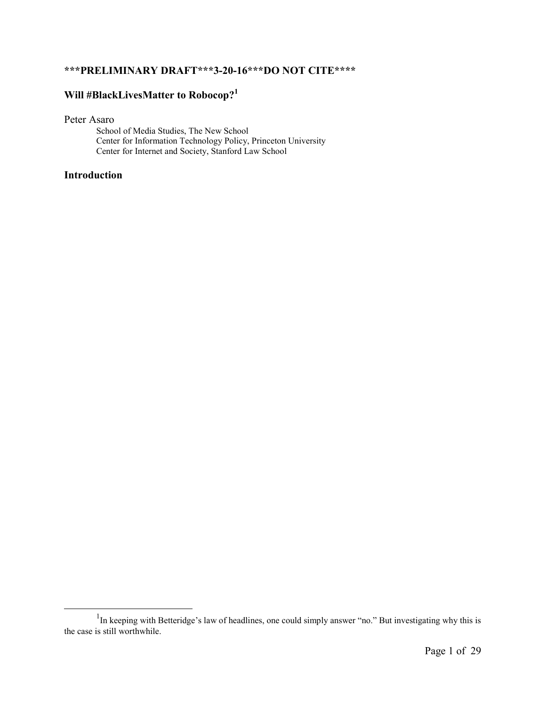# **\*\*\*PRELIMINARY DRAFT\*\*\*3-20-16\*\*\*DO NOT CITE\*\*\*\***

# **Will #BlackLivesMatter to Robocop?<sup>1</sup>**

Peter Asaro

School of Media Studies, The New School Center for Information Technology Policy, Princeton University Center for Internet and Society, Stanford Law School

### **Introduction**

 $\frac{1}{1}$  $1$ In keeping with Betteridge's law of headlines, one could simply answer "no." But investigating why this is the case is still worthwhile.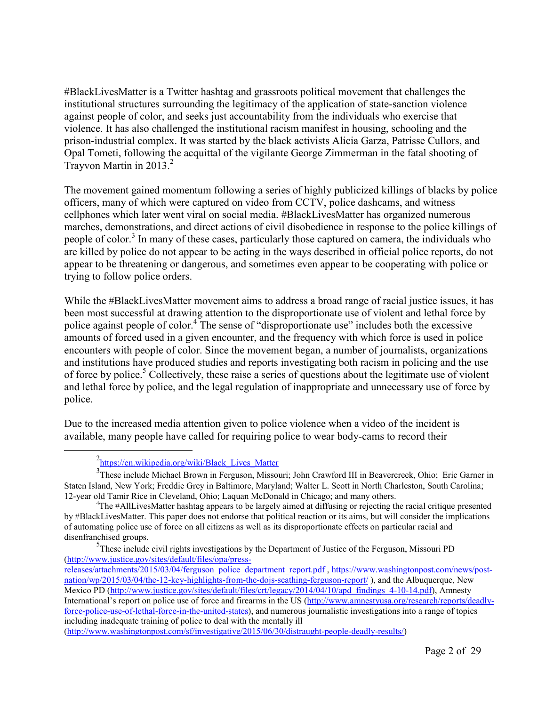#BlackLivesMatter is a Twitter hashtag and grassroots political movement that challenges the institutional structures surrounding the legitimacy of the application of state-sanction violence against people of color, and seeks just accountability from the individuals who exercise that violence. It has also challenged the institutional racism manifest in housing, schooling and the prison-industrial complex. It was started by the black activists Alicia Garza, Patrisse Cullors, and Opal Tometi, following the acquittal of the vigilante George Zimmerman in the fatal shooting of Trayvon Martin in 2013. $^2$ 

The movement gained momentum following a series of highly publicized killings of blacks by police officers, many of which were captured on video from CCTV, police dashcams, and witness cellphones which later went viral on social media. #BlackLivesMatter has organized numerous marches, demonstrations, and direct actions of civil disobedience in response to the police killings of people of color.<sup>3</sup> In many of these cases, particularly those captured on camera, the individuals who are killed by police do not appear to be acting in the ways described in official police reports, do not appear to be threatening or dangerous, and sometimes even appear to be cooperating with police or trying to follow police orders.

While the #BlackLivesMatter movement aims to address a broad range of racial justice issues, it has been most successful at drawing attention to the disproportionate use of violent and lethal force by police against people of color.4 The sense of "disproportionate use" includes both the excessive amounts of forced used in a given encounter, and the frequency with which force is used in police encounters with people of color. Since the movement began, a number of journalists, organizations and institutions have produced studies and reports investigating both racism in policing and the use of force by police.<sup>5</sup> Collectively, these raise a series of questions about the legitimate use of violent and lethal force by police, and the legal regulation of inappropriate and unnecessary use of force by police.

Due to the increased media attention given to police violence when a video of the incident is available, many people have called for requiring police to wear body-cams to record their

International's report on police use of force and firearms in the US (http://www.amnestyusa.org/research/reports/deadlyforce-police-use-of-lethal-force-in-the-united-states), and numerous journalistic investigations into a range of topics including inadequate training of police to deal with the mentally ill

(http://www.washingtonpost.com/sf/investigative/2015/06/30/distraught-people-deadly-results/)

 $\frac{1}{2}$ <sup>2</sup>https://en.wikipedia.org/wiki/Black\_Lives\_Matter

<sup>&</sup>lt;sup>3</sup>These include Michael Brown in Ferguson, Missouri; John Crawford III in Beavercreek, Ohio; Eric Garner in Staten Island, New York; Freddie Grey in Baltimore, Maryland; Walter L. Scott in North Charleston, South Carolina; 12-year old Tamir Rice in Cleveland, Ohio; Laquan McDonald in Chicago; and many others. <sup>4</sup>

 $T$ he #AllLivesMatter hashtag appears to be largely aimed at diffusing or rejecting the racial critique presented by #BlackLivesMatter. This paper does not endorse that political reaction or its aims, but will consider the implications of automating police use of force on all citizens as well as its disproportionate effects on particular racial and disenfranchised groups.

<sup>&</sup>lt;sup>5</sup>These include civil rights investigations by the Department of Justice of the Ferguson, Missouri PD (http://www.justice.gov/sites/default/files/opa/press-

releases/attachments/2015/03/04/ferguson\_police\_department\_report.pdf , https://www.washingtonpost.com/news/postnation/wp/2015/03/04/the-12-key-highlights-from-the-dojs-scathing-ferguson-report/ ), and the Albuquerque, New Mexico PD (http://www.justice.gov/sites/default/files/crt/legacy/2014/04/10/apd\_findings\_4-10-14.pdf), Amnesty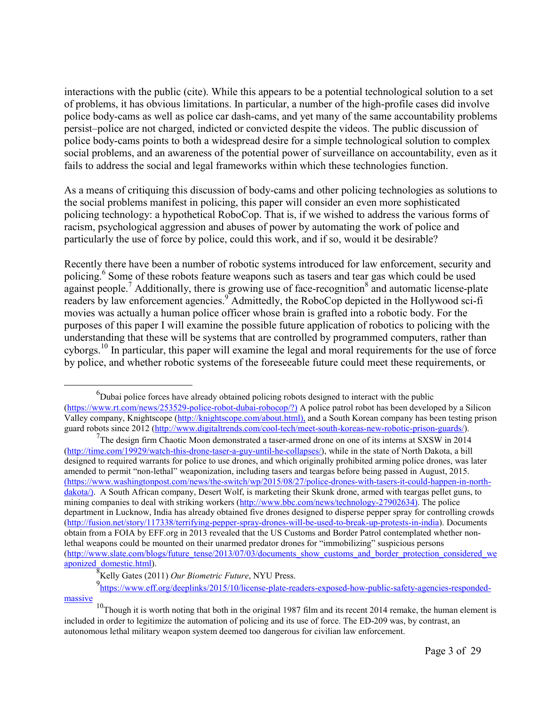interactions with the public (cite). While this appears to be a potential technological solution to a set of problems, it has obvious limitations. In particular, a number of the high-profile cases did involve police body-cams as well as police car dash-cams, and yet many of the same accountability problems persist–police are not charged, indicted or convicted despite the videos. The public discussion of police body-cams points to both a widespread desire for a simple technological solution to complex social problems, and an awareness of the potential power of surveillance on accountability, even as it fails to address the social and legal frameworks within which these technologies function.

As a means of critiquing this discussion of body-cams and other policing technologies as solutions to the social problems manifest in policing, this paper will consider an even more sophisticated policing technology: a hypothetical RoboCop. That is, if we wished to address the various forms of racism, psychological aggression and abuses of power by automating the work of police and particularly the use of force by police, could this work, and if so, would it be desirable?

Recently there have been a number of robotic systems introduced for law enforcement, security and policing.<sup>6</sup> Some of these robots feature weapons such as tasers and tear gas which could be used against people.<sup>7</sup> Additionally, there is growing use of face-recognition<sup>8</sup> and automatic license-plate readers by law enforcement agencies.<sup>9</sup> Admittedly, the RoboCop depicted in the Hollywood sci-fi movies was actually a human police officer whose brain is grafted into a robotic body. For the purposes of this paper I will examine the possible future application of robotics to policing with the understanding that these will be systems that are controlled by programmed computers, rather than cyborgs.<sup>10</sup> In particular, this paper will examine the legal and moral requirements for the use of force by police, and whether robotic systems of the foreseeable future could meet these requirements, or

 $\overline{\phantom{0}}$  $<sup>6</sup>$ Dubai police forces have already obtained policing robots designed to interact with the public</sup> (https://www.rt.com/news/253529-police-robot-dubai-robocop/?) A police patrol robot has been developed by a Silicon Valley company, Knightscope (http://knightscope.com/about.html), and a South Korean company has been testing prison guard robots since 2012 (http://www.digitaltrends.com/cool-tech/meet-south-koreas-new-robotic-prison-guards/).

<sup>7</sup> The design firm Chaotic Moon demonstrated a taser-armed drone on one of its interns at SXSW in 2014 (http://time.com/19929/watch-this-drone-taser-a-guy-until-he-collapses/), while in the state of North Dakota, a bill designed to required warrants for police to use drones, and which originally prohibited arming police drones, was later amended to permit "non-lethal" weaponization, including tasers and teargas before being passed in August, 2015. (https://www.washingtonpost.com/news/the-switch/wp/2015/08/27/police-drones-with-tasers-it-could-happen-in-northdakota/). A South African company, Desert Wolf, is marketing their Skunk drone, armed with teargas pellet guns, to mining companies to deal with striking workers (http://www.bbc.com/news/technology-27902634). The police department in Lucknow, India has already obtained five drones designed to disperse pepper spray for controlling crowds (http://fusion.net/story/117338/terrifying-pepper-spray-drones-will-be-used-to-break-up-protests-in-india). Documents obtain from a FOIA by EFF.org in 2013 revealed that the US Customs and Border Patrol contemplated whether nonlethal weapons could be mounted on their unarmed predator drones for "immobilizing" suspicious persons (http://www.slate.com/blogs/future\_tense/2013/07/03/documents\_show\_customs\_and\_border\_protection\_considered\_we aponized\_domestic.html).

<sup>8</sup> Kelly Gates (2011) *Our Biometric Future*, NYU Press.

<sup>&</sup>lt;sup>9</sup>https://www.eff.org/deeplinks/2015/10/license-plate-readers-exposed-how-public-safety-agencies-respondedmassive

 $10$ Though it is worth noting that both in the original 1987 film and its recent 2014 remake, the human element is included in order to legitimize the automation of policing and its use of force. The ED-209 was, by contrast, an autonomous lethal military weapon system deemed too dangerous for civilian law enforcement.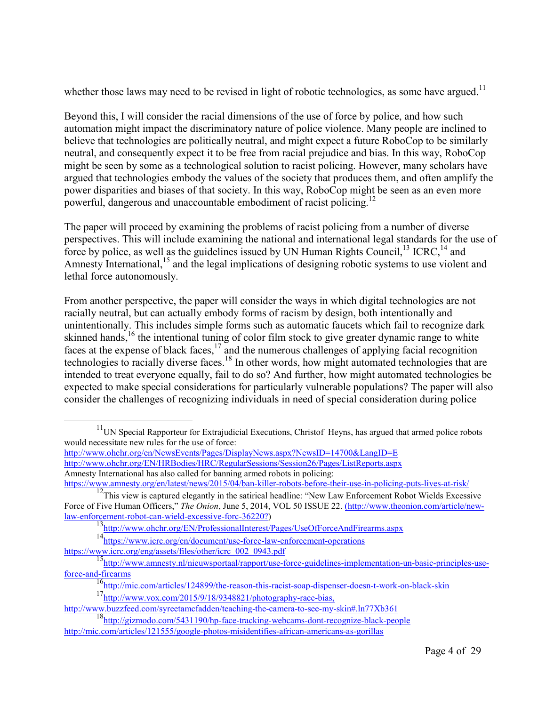whether those laws may need to be revised in light of robotic technologies, as some have argued.<sup>11</sup>

Beyond this, I will consider the racial dimensions of the use of force by police, and how such automation might impact the discriminatory nature of police violence. Many people are inclined to believe that technologies are politically neutral, and might expect a future RoboCop to be similarly neutral, and consequently expect it to be free from racial prejudice and bias. In this way, RoboCop might be seen by some as a technological solution to racist policing. However, many scholars have argued that technologies embody the values of the society that produces them, and often amplify the power disparities and biases of that society. In this way, RoboCop might be seen as an even more powerful, dangerous and unaccountable embodiment of racist policing.<sup>12</sup>

The paper will proceed by examining the problems of racist policing from a number of diverse perspectives. This will include examining the national and international legal standards for the use of force by police, as well as the guidelines issued by UN Human Rights Council,  $^{13}$  ICRC,  $^{14}$  and Amnesty International,<sup>15</sup> and the legal implications of designing robotic systems to use violent and lethal force autonomously.

From another perspective, the paper will consider the ways in which digital technologies are not racially neutral, but can actually embody forms of racism by design, both intentionally and unintentionally. This includes simple forms such as automatic faucets which fail to recognize dark skinned hands,<sup>16</sup> the intentional tuning of color film stock to give greater dynamic range to white faces at the expense of black faces, $17$  and the numerous challenges of applying facial recognition technologies to racially diverse faces.<sup>18</sup> In other words, how might automated technologies that are intended to treat everyone equally, fail to do so? And further, how might automated technologies be expected to make special considerations for particularly vulnerable populations? The paper will also consider the challenges of recognizing individuals in need of special consideration during police

- <sup>11</sup>UN Special Rapporteur for Extrajudicial Executions, Christof Heyns, has argued that armed police robots would necessitate new rules for the use of force:
- http://www.ohchr.org/en/NewsEvents/Pages/DisplayNews.aspx?NewsID=14700&LangID=E
- http://www.ohchr.org/EN/HRBodies/HRC/RegularSessions/Session26/Pages/ListReports.aspx Amnesty International has also called for banning armed robots in policing:

https://www.amnesty.org/en/latest/news/2015/04/ban-killer-robots-before-their-use-in-policing-puts-lives-at-risk/

<sup>&</sup>lt;sup>12</sup>This view is captured elegantly in the satirical headline: "New Law Enforcement Robot Wields Excessive Force of Five Human Officers," *The Onion*, June 5, 2014, VOL 50 ISSUE 22. (http://www.theonion.com/article/newlaw-enforcement-robot-can-wield-excessive-forc-36220?)

<sup>13</sup>http://www.ohchr.org/EN/ProfessionalInterest/Pages/UseOfForceAndFirearms.aspx

<sup>14</sup>https://www.icrc.org/en/document/use-force-law-enforcement-operations

https://www.icrc.org/eng/assets/files/other/icrc\_002\_0943.pdf

<sup>15</sup>http://www.amnesty.nl/nieuwsportaal/rapport/use-force-guidelines-implementation-un-basic-principles-useforce-and-firearms

<sup>&</sup>lt;sup>16</sup>http://mic.<u>com/articles/124899/the-reason-this-racist-soap-dispenser-doesn-t-work-on-black-skin</u>

 $17$ <sub>http://www.yox.com/2015/9/18/9348821/photography-race-bias,</sub>

http://www.buzzfeed.com/syreetamcfadden/teaching-the-camera-to-see-my-skin#.ln77Xb361

<sup>18</sup>http://gizmodo.com/5431190/hp-face-tracking-webcams-dont-recognize-black-people http://mic.com/articles/121555/google-photos-misidentifies-african-americans-as-gorillas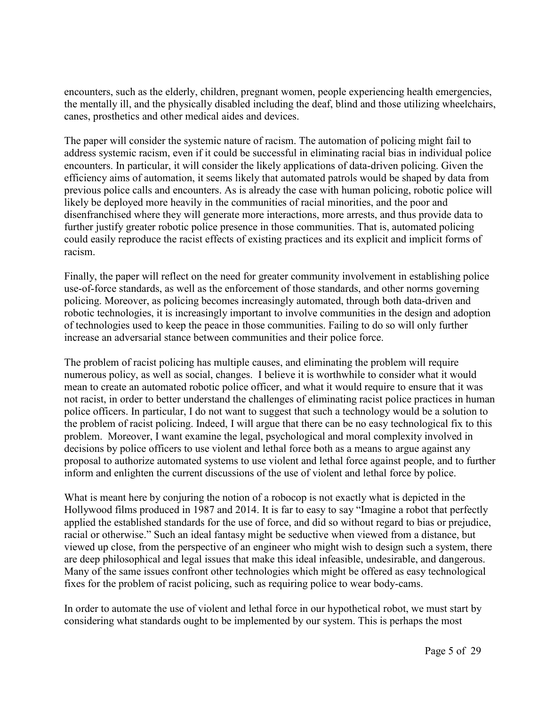encounters, such as the elderly, children, pregnant women, people experiencing health emergencies, the mentally ill, and the physically disabled including the deaf, blind and those utilizing wheelchairs, canes, prosthetics and other medical aides and devices.

The paper will consider the systemic nature of racism. The automation of policing might fail to address systemic racism, even if it could be successful in eliminating racial bias in individual police encounters. In particular, it will consider the likely applications of data-driven policing. Given the efficiency aims of automation, it seems likely that automated patrols would be shaped by data from previous police calls and encounters. As is already the case with human policing, robotic police will likely be deployed more heavily in the communities of racial minorities, and the poor and disenfranchised where they will generate more interactions, more arrests, and thus provide data to further justify greater robotic police presence in those communities. That is, automated policing could easily reproduce the racist effects of existing practices and its explicit and implicit forms of racism.

Finally, the paper will reflect on the need for greater community involvement in establishing police use-of-force standards, as well as the enforcement of those standards, and other norms governing policing. Moreover, as policing becomes increasingly automated, through both data-driven and robotic technologies, it is increasingly important to involve communities in the design and adoption of technologies used to keep the peace in those communities. Failing to do so will only further increase an adversarial stance between communities and their police force.

The problem of racist policing has multiple causes, and eliminating the problem will require numerous policy, as well as social, changes. I believe it is worthwhile to consider what it would mean to create an automated robotic police officer, and what it would require to ensure that it was not racist, in order to better understand the challenges of eliminating racist police practices in human police officers. In particular, I do not want to suggest that such a technology would be a solution to the problem of racist policing. Indeed, I will argue that there can be no easy technological fix to this problem. Moreover, I want examine the legal, psychological and moral complexity involved in decisions by police officers to use violent and lethal force both as a means to argue against any proposal to authorize automated systems to use violent and lethal force against people, and to further inform and enlighten the current discussions of the use of violent and lethal force by police.

What is meant here by conjuring the notion of a robocop is not exactly what is depicted in the Hollywood films produced in 1987 and 2014. It is far to easy to say "Imagine a robot that perfectly applied the established standards for the use of force, and did so without regard to bias or prejudice, racial or otherwise." Such an ideal fantasy might be seductive when viewed from a distance, but viewed up close, from the perspective of an engineer who might wish to design such a system, there are deep philosophical and legal issues that make this ideal infeasible, undesirable, and dangerous. Many of the same issues confront other technologies which might be offered as easy technological fixes for the problem of racist policing, such as requiring police to wear body-cams.

In order to automate the use of violent and lethal force in our hypothetical robot, we must start by considering what standards ought to be implemented by our system. This is perhaps the most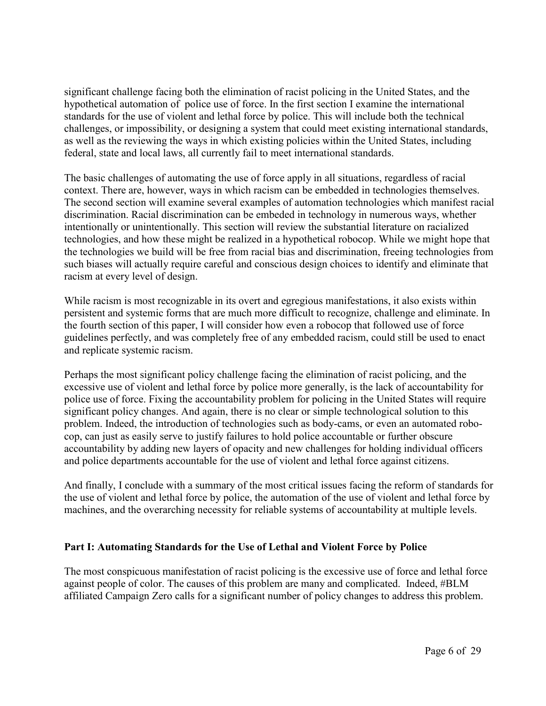significant challenge facing both the elimination of racist policing in the United States, and the hypothetical automation of police use of force. In the first section I examine the international standards for the use of violent and lethal force by police. This will include both the technical challenges, or impossibility, or designing a system that could meet existing international standards, as well as the reviewing the ways in which existing policies within the United States, including federal, state and local laws, all currently fail to meet international standards.

The basic challenges of automating the use of force apply in all situations, regardless of racial context. There are, however, ways in which racism can be embedded in technologies themselves. The second section will examine several examples of automation technologies which manifest racial discrimination. Racial discrimination can be embeded in technology in numerous ways, whether intentionally or unintentionally. This section will review the substantial literature on racialized technologies, and how these might be realized in a hypothetical robocop. While we might hope that the technologies we build will be free from racial bias and discrimination, freeing technologies from such biases will actually require careful and conscious design choices to identify and eliminate that racism at every level of design.

While racism is most recognizable in its overt and egregious manifestations, it also exists within persistent and systemic forms that are much more difficult to recognize, challenge and eliminate. In the fourth section of this paper, I will consider how even a robocop that followed use of force guidelines perfectly, and was completely free of any embedded racism, could still be used to enact and replicate systemic racism.

Perhaps the most significant policy challenge facing the elimination of racist policing, and the excessive use of violent and lethal force by police more generally, is the lack of accountability for police use of force. Fixing the accountability problem for policing in the United States will require significant policy changes. And again, there is no clear or simple technological solution to this problem. Indeed, the introduction of technologies such as body-cams, or even an automated robocop, can just as easily serve to justify failures to hold police accountable or further obscure accountability by adding new layers of opacity and new challenges for holding individual officers and police departments accountable for the use of violent and lethal force against citizens.

And finally, I conclude with a summary of the most critical issues facing the reform of standards for the use of violent and lethal force by police, the automation of the use of violent and lethal force by machines, and the overarching necessity for reliable systems of accountability at multiple levels.

### **Part I: Automating Standards for the Use of Lethal and Violent Force by Police**

The most conspicuous manifestation of racist policing is the excessive use of force and lethal force against people of color. The causes of this problem are many and complicated. Indeed, #BLM affiliated Campaign Zero calls for a significant number of policy changes to address this problem.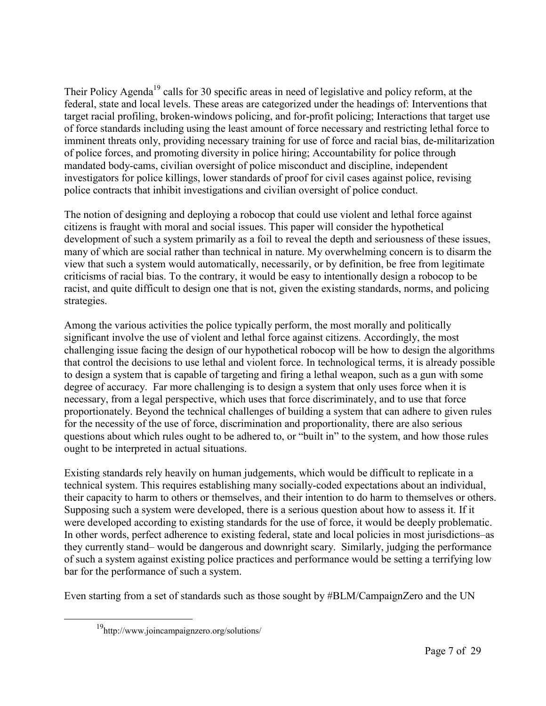Their Policy Agenda<sup>19</sup> calls for 30 specific areas in need of legislative and policy reform, at the federal, state and local levels. These areas are categorized under the headings of: Interventions that target racial profiling, broken-windows policing, and for-profit policing; Interactions that target use of force standards including using the least amount of force necessary and restricting lethal force to imminent threats only, providing necessary training for use of force and racial bias, de-militarization of police forces, and promoting diversity in police hiring; Accountability for police through mandated body-cams, civilian oversight of police misconduct and discipline, independent investigators for police killings, lower standards of proof for civil cases against police, revising police contracts that inhibit investigations and civilian oversight of police conduct.

The notion of designing and deploying a robocop that could use violent and lethal force against citizens is fraught with moral and social issues. This paper will consider the hypothetical development of such a system primarily as a foil to reveal the depth and seriousness of these issues, many of which are social rather than technical in nature. My overwhelming concern is to disarm the view that such a system would automatically, necessarily, or by definition, be free from legitimate criticisms of racial bias. To the contrary, it would be easy to intentionally design a robocop to be racist, and quite difficult to design one that is not, given the existing standards, norms, and policing strategies.

Among the various activities the police typically perform, the most morally and politically significant involve the use of violent and lethal force against citizens. Accordingly, the most challenging issue facing the design of our hypothetical robocop will be how to design the algorithms that control the decisions to use lethal and violent force. In technological terms, it is already possible to design a system that is capable of targeting and firing a lethal weapon, such as a gun with some degree of accuracy. Far more challenging is to design a system that only uses force when it is necessary, from a legal perspective, which uses that force discriminately, and to use that force proportionately. Beyond the technical challenges of building a system that can adhere to given rules for the necessity of the use of force, discrimination and proportionality, there are also serious questions about which rules ought to be adhered to, or "built in" to the system, and how those rules ought to be interpreted in actual situations.

Existing standards rely heavily on human judgements, which would be difficult to replicate in a technical system. This requires establishing many socially-coded expectations about an individual, their capacity to harm to others or themselves, and their intention to do harm to themselves or others. Supposing such a system were developed, there is a serious question about how to assess it. If it were developed according to existing standards for the use of force, it would be deeply problematic. In other words, perfect adherence to existing federal, state and local policies in most jurisdictions–as they currently stand– would be dangerous and downright scary. Similarly, judging the performance of such a system against existing police practices and performance would be setting a terrifying low bar for the performance of such a system.

Even starting from a set of standards such as those sought by #BLM/CampaignZero and the UN

 <sup>19</sup>http://www.joincampaignzero.org/solutions/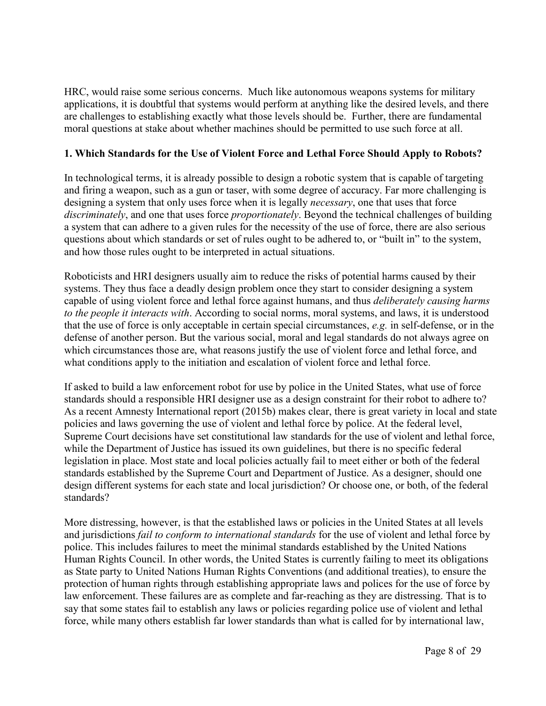HRC, would raise some serious concerns. Much like autonomous weapons systems for military applications, it is doubtful that systems would perform at anything like the desired levels, and there are challenges to establishing exactly what those levels should be. Further, there are fundamental moral questions at stake about whether machines should be permitted to use such force at all.

#### **1. Which Standards for the Use of Violent Force and Lethal Force Should Apply to Robots?**

In technological terms, it is already possible to design a robotic system that is capable of targeting and firing a weapon, such as a gun or taser, with some degree of accuracy. Far more challenging is designing a system that only uses force when it is legally *necessary*, one that uses that force *discriminately*, and one that uses force *proportionately*. Beyond the technical challenges of building a system that can adhere to a given rules for the necessity of the use of force, there are also serious questions about which standards or set of rules ought to be adhered to, or "built in" to the system, and how those rules ought to be interpreted in actual situations.

Roboticists and HRI designers usually aim to reduce the risks of potential harms caused by their systems. They thus face a deadly design problem once they start to consider designing a system capable of using violent force and lethal force against humans, and thus *deliberately causing harms to the people it interacts with*. According to social norms, moral systems, and laws, it is understood that the use of force is only acceptable in certain special circumstances, *e.g.* in self-defense, or in the defense of another person. But the various social, moral and legal standards do not always agree on which circumstances those are, what reasons justify the use of violent force and lethal force, and what conditions apply to the initiation and escalation of violent force and lethal force.

If asked to build a law enforcement robot for use by police in the United States, what use of force standards should a responsible HRI designer use as a design constraint for their robot to adhere to? As a recent Amnesty International report (2015b) makes clear, there is great variety in local and state policies and laws governing the use of violent and lethal force by police. At the federal level, Supreme Court decisions have set constitutional law standards for the use of violent and lethal force, while the Department of Justice has issued its own guidelines, but there is no specific federal legislation in place. Most state and local policies actually fail to meet either or both of the federal standards established by the Supreme Court and Department of Justice. As a designer, should one design different systems for each state and local jurisdiction? Or choose one, or both, of the federal standards?

More distressing, however, is that the established laws or policies in the United States at all levels and jurisdictions *fail to conform to international standards* for the use of violent and lethal force by police. This includes failures to meet the minimal standards established by the United Nations Human Rights Council. In other words, the United States is currently failing to meet its obligations as State party to United Nations Human Rights Conventions (and additional treaties), to ensure the protection of human rights through establishing appropriate laws and polices for the use of force by law enforcement. These failures are as complete and far-reaching as they are distressing. That is to say that some states fail to establish any laws or policies regarding police use of violent and lethal force, while many others establish far lower standards than what is called for by international law,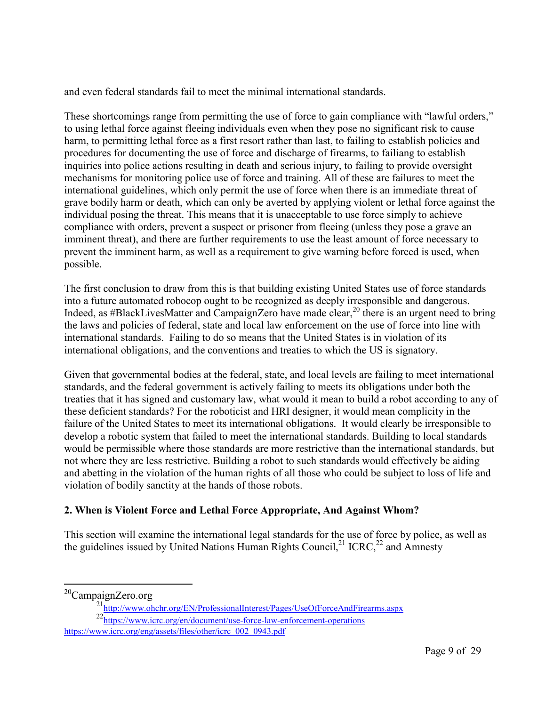and even federal standards fail to meet the minimal international standards.

These shortcomings range from permitting the use of force to gain compliance with "lawful orders," to using lethal force against fleeing individuals even when they pose no significant risk to cause harm, to permitting lethal force as a first resort rather than last, to failing to establish policies and procedures for documenting the use of force and discharge of firearms, to failiang to establish inquiries into police actions resulting in death and serious injury, to failing to provide oversight mechanisms for monitoring police use of force and training. All of these are failures to meet the international guidelines, which only permit the use of force when there is an immediate threat of grave bodily harm or death, which can only be averted by applying violent or lethal force against the individual posing the threat. This means that it is unacceptable to use force simply to achieve compliance with orders, prevent a suspect or prisoner from fleeing (unless they pose a grave an imminent threat), and there are further requirements to use the least amount of force necessary to prevent the imminent harm, as well as a requirement to give warning before forced is used, when possible.

The first conclusion to draw from this is that building existing United States use of force standards into a future automated robocop ought to be recognized as deeply irresponsible and dangerous. Indeed, as #BlackLivesMatter and CampaignZero have made clear,<sup>20</sup> there is an urgent need to bring the laws and policies of federal, state and local law enforcement on the use of force into line with international standards. Failing to do so means that the United States is in violation of its international obligations, and the conventions and treaties to which the US is signatory.

Given that governmental bodies at the federal, state, and local levels are failing to meet international standards, and the federal government is actively failing to meets its obligations under both the treaties that it has signed and customary law, what would it mean to build a robot according to any of these deficient standards? For the roboticist and HRI designer, it would mean complicity in the failure of the United States to meet its international obligations. It would clearly be irresponsible to develop a robotic system that failed to meet the international standards. Building to local standards would be permissible where those standards are more restrictive than the international standards, but not where they are less restrictive. Building a robot to such standards would effectively be aiding and abetting in the violation of the human rights of all those who could be subject to loss of life and violation of bodily sanctity at the hands of those robots.

## **2. When is Violent Force and Lethal Force Appropriate, And Against Whom?**

This section will examine the international legal standards for the use of force by police, as well as the guidelines issued by United Nations Human Rights Council,<sup>21</sup> ICRC,<sup>22</sup> and Amnesty

 <sup>20</sup>CampaignZero.org

<sup>21&</sup>lt;br>http://www.ohchr.org/EN/ProfessionalInterest/Pages/UseOfForceAndFirearms.aspx

<sup>22&</sup>lt;sup>https://www<u>.icrc.org/en/document/use-force-law-enforcement-operations</u></sup> https://www.icrc.org/eng/assets/files/other/icrc\_002\_0943.pdf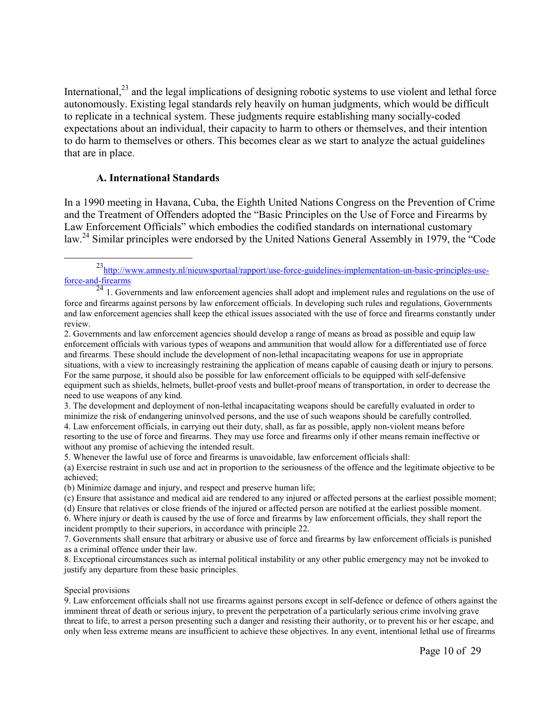International, $^{23}$  and the legal implications of designing robotic systems to use violent and lethal force autonomously. Existing legal standards rely heavily on human judgments, which would be difficult to replicate in a technical system. These judgments require establishing many socially-coded expectations about an individual, their capacity to harm to others or themselves, and their intention to do harm to themselves or others. This becomes clear as we start to analyze the actual guidelines that are in place.

#### **A. International Standards**

In a 1990 meeting in Havana, Cuba, the Eighth United Nations Congress on the Prevention of Crime and the Treatment of Offenders adopted the "Basic Principles on the Use of Force and Firearms by Law Enforcement Officials" which embodies the codified standards on international customary law.24 Similar principles were endorsed by the United Nations General Assembly in 1979, the "Code

3. The development and deployment of non-lethal incapacitating weapons should be carefully evaluated in order to minimize the risk of endangering uninvolved persons, and the use of such weapons should be carefully controlled. 4. Law enforcement officials, in carrying out their duty, shall, as far as possible, apply non-violent means before resorting to the use of force and firearms. They may use force and firearms only if other means remain ineffective or without any promise of achieving the intended result.

5. Whenever the lawful use of force and firearms is unavoidable, law enforcement officials shall:

(a) Exercise restraint in such use and act in proportion to the seriousness of the offence and the legitimate objective to be achieved;

(b) Minimize damage and injury, and respect and preserve human life;

(c) Ensure that assistance and medical aid are rendered to any injured or affected persons at the earliest possible moment;

(d) Ensure that relatives or close friends of the injured or affected person are notified at the earliest possible moment.

6. Where injury or death is caused by the use of force and firearms by law enforcement officials, they shall report the incident promptly to their superiors, in accordance with principle 22.

7. Governments shall ensure that arbitrary or abusive use of force and firearms by law enforcement officials is punished as a criminal offence under their law.

8. Exceptional circumstances such as internal political instability or any other public emergency may not be invoked to justify any departure from these basic principles.

#### Special provisions

9. Law enforcement officials shall not use firearms against persons except in self-defence or defence of others against the imminent threat of death or serious injury, to prevent the perpetration of a particularly serious crime involving grave threat to life, to arrest a person presenting such a danger and resisting their authority, or to prevent his or her escape, and only when less extreme means are insufficient to achieve these objectives. In any event, intentional lethal use of firearms

 <sup>23</sup>http://www.amnesty.nl/nieuwsportaal/rapport/use-force-guidelines-implementation-un-basic-principles-useforce-and-firearms

<sup>&</sup>lt;sup>24</sup> 1. Governments and law enforcement agencies shall adopt and implement rules and regulations on the use of force and firearms against persons by law enforcement officials. In developing such rules and regulations, Governments and law enforcement agencies shall keep the ethical issues associated with the use of force and firearms constantly under review.

<sup>2.</sup> Governments and law enforcement agencies should develop a range of means as broad as possible and equip law enforcement officials with various types of weapons and ammunition that would allow for a differentiated use of force and firearms. These should include the development of non-lethal incapacitating weapons for use in appropriate situations, with a view to increasingly restraining the application of means capable of causing death or injury to persons. For the same purpose, it should also be possible for law enforcement officials to be equipped with self-defensive equipment such as shields, helmets, bullet-proof vests and bullet-proof means of transportation, in order to decrease the need to use weapons of any kind.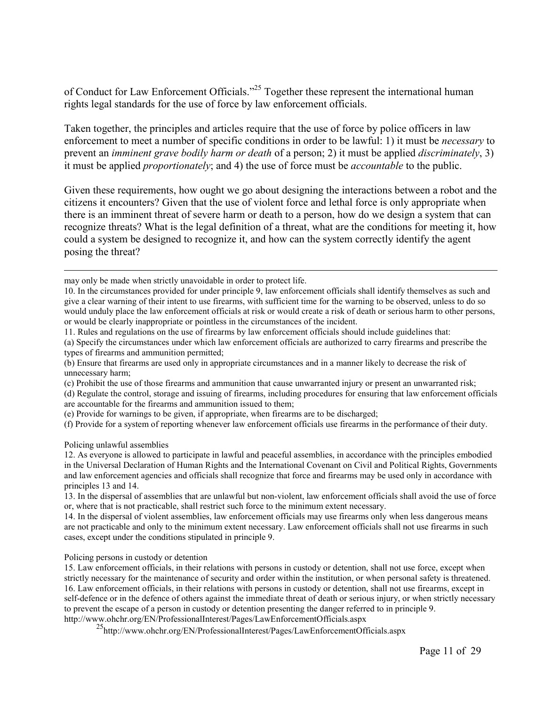of Conduct for Law Enforcement Officials.<sup>225</sup> Together these represent the international human rights legal standards for the use of force by law enforcement officials.

Taken together, the principles and articles require that the use of force by police officers in law enforcement to meet a number of specific conditions in order to be lawful: 1) it must be *necessary* to prevent an *imminent grave bodily harm or death* of a person; 2) it must be applied *discriminately*, 3) it must be applied *proportionately*; and 4) the use of force must be *accountable* to the public.

Given these requirements, how ought we go about designing the interactions between a robot and the citizens it encounters? Given that the use of violent force and lethal force is only appropriate when there is an imminent threat of severe harm or death to a person, how do we design a system that can recognize threats? What is the legal definition of a threat, what are the conditions for meeting it, how could a system be designed to recognize it, and how can the system correctly identify the agent posing the threat?

(a) Specify the circumstances under which law enforcement officials are authorized to carry firearms and prescribe the types of firearms and ammunition permitted;

(c) Prohibit the use of those firearms and ammunition that cause unwarranted injury or present an unwarranted risk;

(d) Regulate the control, storage and issuing of firearms, including procedures for ensuring that law enforcement officials are accountable for the firearms and ammunition issued to them;

(e) Provide for warnings to be given, if appropriate, when firearms are to be discharged;

(f) Provide for a system of reporting whenever law enforcement officials use firearms in the performance of their duty.

Policing unlawful assemblies

12. As everyone is allowed to participate in lawful and peaceful assemblies, in accordance with the principles embodied in the Universal Declaration of Human Rights and the International Covenant on Civil and Political Rights, Governments and law enforcement agencies and officials shall recognize that force and firearms may be used only in accordance with principles 13 and 14.

13. In the dispersal of assemblies that are unlawful but non-violent, law enforcement officials shall avoid the use of force or, where that is not practicable, shall restrict such force to the minimum extent necessary.

14. In the dispersal of violent assemblies, law enforcement officials may use firearms only when less dangerous means are not practicable and only to the minimum extent necessary. Law enforcement officials shall not use firearms in such cases, except under the conditions stipulated in principle 9.

Policing persons in custody or detention

15. Law enforcement officials, in their relations with persons in custody or detention, shall not use force, except when strictly necessary for the maintenance of security and order within the institution, or when personal safety is threatened. 16. Law enforcement officials, in their relations with persons in custody or detention, shall not use firearms, except in self-defence or in the defence of others against the immediate threat of death or serious injury, or when strictly necessary to prevent the escape of a person in custody or detention presenting the danger referred to in principle 9. http://www.ohchr.org/EN/ProfessionalInterest/Pages/LawEnforcementOfficials.aspx

25http://www.ohchr.org/EN/ProfessionalInterest/Pages/LawEnforcementOfficials.aspx

 $\overline{a}$ may only be made when strictly unavoidable in order to protect life.

<sup>10.</sup> In the circumstances provided for under principle 9, law enforcement officials shall identify themselves as such and give a clear warning of their intent to use firearms, with sufficient time for the warning to be observed, unless to do so would unduly place the law enforcement officials at risk or would create a risk of death or serious harm to other persons, or would be clearly inappropriate or pointless in the circumstances of the incident.

<sup>11.</sup> Rules and regulations on the use of firearms by law enforcement officials should include guidelines that:

<sup>(</sup>b) Ensure that firearms are used only in appropriate circumstances and in a manner likely to decrease the risk of unnecessary harm;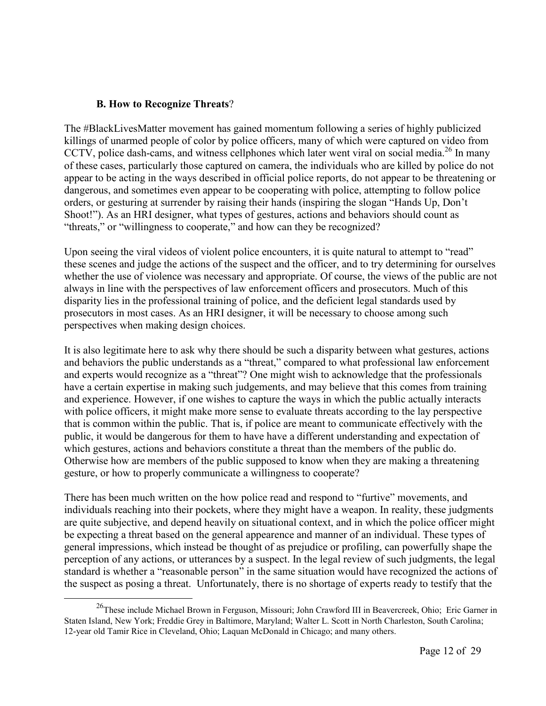## **B. How to Recognize Threats**?

The #BlackLivesMatter movement has gained momentum following a series of highly publicized killings of unarmed people of color by police officers, many of which were captured on video from CCTV, police dash-cams, and witness cellphones which later went viral on social media.<sup>26</sup> In many of these cases, particularly those captured on camera, the individuals who are killed by police do not appear to be acting in the ways described in official police reports, do not appear to be threatening or dangerous, and sometimes even appear to be cooperating with police, attempting to follow police orders, or gesturing at surrender by raising their hands (inspiring the slogan "Hands Up, Don't Shoot!"). As an HRI designer, what types of gestures, actions and behaviors should count as "threats," or "willingness to cooperate," and how can they be recognized?

Upon seeing the viral videos of violent police encounters, it is quite natural to attempt to "read" these scenes and judge the actions of the suspect and the officer, and to try determining for ourselves whether the use of violence was necessary and appropriate. Of course, the views of the public are not always in line with the perspectives of law enforcement officers and prosecutors. Much of this disparity lies in the professional training of police, and the deficient legal standards used by prosecutors in most cases. As an HRI designer, it will be necessary to choose among such perspectives when making design choices.

It is also legitimate here to ask why there should be such a disparity between what gestures, actions and behaviors the public understands as a "threat," compared to what professional law enforcement and experts would recognize as a "threat"? One might wish to acknowledge that the professionals have a certain expertise in making such judgements, and may believe that this comes from training and experience. However, if one wishes to capture the ways in which the public actually interacts with police officers, it might make more sense to evaluate threats according to the lay perspective that is common within the public. That is, if police are meant to communicate effectively with the public, it would be dangerous for them to have have a different understanding and expectation of which gestures, actions and behaviors constitute a threat than the members of the public do. Otherwise how are members of the public supposed to know when they are making a threatening gesture, or how to properly communicate a willingness to cooperate?

There has been much written on the how police read and respond to "furtive" movements, and individuals reaching into their pockets, where they might have a weapon. In reality, these judgments are quite subjective, and depend heavily on situational context, and in which the police officer might be expecting a threat based on the general appearence and manner of an individual. These types of general impressions, which instead be thought of as prejudice or profiling, can powerfully shape the perception of any actions, or utterances by a suspect. In the legal review of such judgments, the legal standard is whether a "reasonable person" in the same situation would have recognized the actions of the suspect as posing a threat. Unfortunately, there is no shortage of experts ready to testify that the

<sup>&</sup>lt;sup>26</sup>These include Michael Brown in Ferguson, Missouri; John Crawford III in Beavercreek, Ohio; Eric Garner in Staten Island, New York; Freddie Grey in Baltimore, Maryland; Walter L. Scott in North Charleston, South Carolina; 12-year old Tamir Rice in Cleveland, Ohio; Laquan McDonald in Chicago; and many others.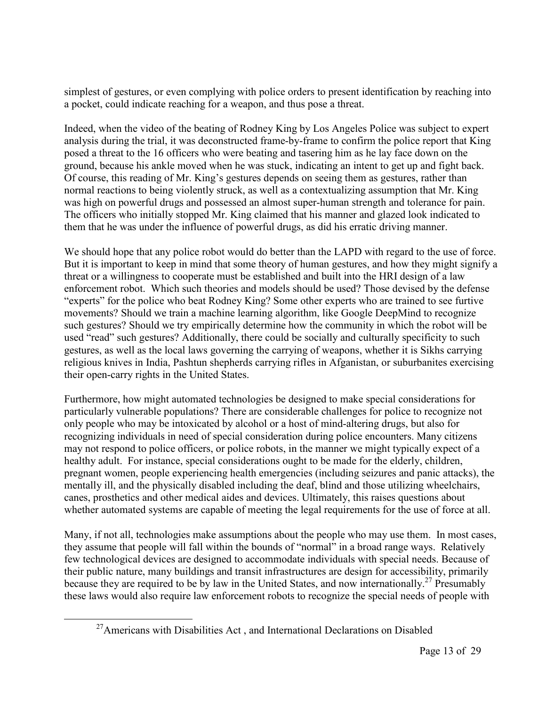simplest of gestures, or even complying with police orders to present identification by reaching into a pocket, could indicate reaching for a weapon, and thus pose a threat.

Indeed, when the video of the beating of Rodney King by Los Angeles Police was subject to expert analysis during the trial, it was deconstructed frame-by-frame to confirm the police report that King posed a threat to the 16 officers who were beating and tasering him as he lay face down on the ground, because his ankle moved when he was stuck, indicating an intent to get up and fight back. Of course, this reading of Mr. King's gestures depends on seeing them as gestures, rather than normal reactions to being violently struck, as well as a contextualizing assumption that Mr. King was high on powerful drugs and possessed an almost super-human strength and tolerance for pain. The officers who initially stopped Mr. King claimed that his manner and glazed look indicated to them that he was under the influence of powerful drugs, as did his erratic driving manner.

We should hope that any police robot would do better than the LAPD with regard to the use of force. But it is important to keep in mind that some theory of human gestures, and how they might signify a threat or a willingness to cooperate must be established and built into the HRI design of a law enforcement robot. Which such theories and models should be used? Those devised by the defense "experts" for the police who beat Rodney King? Some other experts who are trained to see furtive movements? Should we train a machine learning algorithm, like Google DeepMind to recognize such gestures? Should we try empirically determine how the community in which the robot will be used "read" such gestures? Additionally, there could be socially and culturally specificity to such gestures, as well as the local laws governing the carrying of weapons, whether it is Sikhs carrying religious knives in India, Pashtun shepherds carrying rifles in Afganistan, or suburbanites exercising their open-carry rights in the United States.

Furthermore, how might automated technologies be designed to make special considerations for particularly vulnerable populations? There are considerable challenges for police to recognize not only people who may be intoxicated by alcohol or a host of mind-altering drugs, but also for recognizing individuals in need of special consideration during police encounters. Many citizens may not respond to police officers, or police robots, in the manner we might typically expect of a healthy adult. For instance, special considerations ought to be made for the elderly, children, pregnant women, people experiencing health emergencies (including seizures and panic attacks), the mentally ill, and the physically disabled including the deaf, blind and those utilizing wheelchairs, canes, prosthetics and other medical aides and devices. Ultimately, this raises questions about whether automated systems are capable of meeting the legal requirements for the use of force at all.

Many, if not all, technologies make assumptions about the people who may use them. In most cases, they assume that people will fall within the bounds of "normal" in a broad range ways. Relatively few technological devices are designed to accommodate individuals with special needs. Because of their public nature, many buildings and transit infrastructures are design for accessibility, primarily because they are required to be by law in the United States, and now internationally.<sup>27</sup> Presumably these laws would also require law enforcement robots to recognize the special needs of people with

 $27$ Americans with Disabilities Act, and International Declarations on Disabled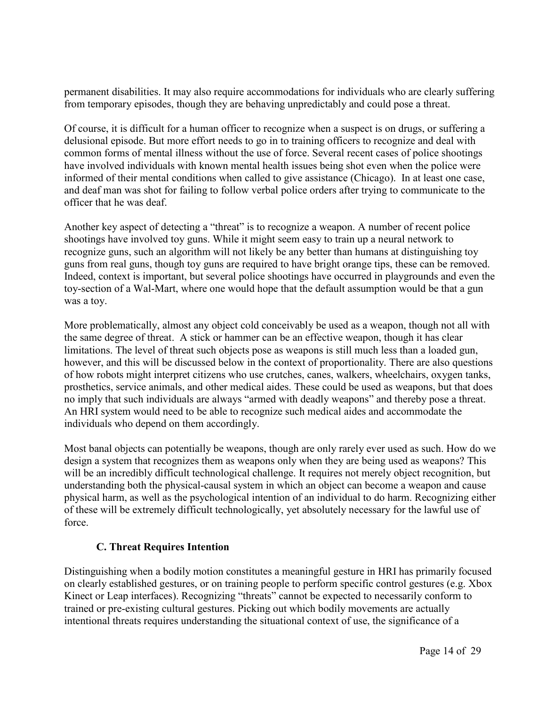permanent disabilities. It may also require accommodations for individuals who are clearly suffering from temporary episodes, though they are behaving unpredictably and could pose a threat.

Of course, it is difficult for a human officer to recognize when a suspect is on drugs, or suffering a delusional episode. But more effort needs to go in to training officers to recognize and deal with common forms of mental illness without the use of force. Several recent cases of police shootings have involved individuals with known mental health issues being shot even when the police were informed of their mental conditions when called to give assistance (Chicago). In at least one case, and deaf man was shot for failing to follow verbal police orders after trying to communicate to the officer that he was deaf.

Another key aspect of detecting a "threat" is to recognize a weapon. A number of recent police shootings have involved toy guns. While it might seem easy to train up a neural network to recognize guns, such an algorithm will not likely be any better than humans at distinguishing toy guns from real guns, though toy guns are required to have bright orange tips, these can be removed. Indeed, context is important, but several police shootings have occurred in playgrounds and even the toy-section of a Wal-Mart, where one would hope that the default assumption would be that a gun was a toy.

More problematically, almost any object cold conceivably be used as a weapon, though not all with the same degree of threat. A stick or hammer can be an effective weapon, though it has clear limitations. The level of threat such objects pose as weapons is still much less than a loaded gun, however, and this will be discussed below in the context of proportionality. There are also questions of how robots might interpret citizens who use crutches, canes, walkers, wheelchairs, oxygen tanks, prosthetics, service animals, and other medical aides. These could be used as weapons, but that does no imply that such individuals are always "armed with deadly weapons" and thereby pose a threat. An HRI system would need to be able to recognize such medical aides and accommodate the individuals who depend on them accordingly.

Most banal objects can potentially be weapons, though are only rarely ever used as such. How do we design a system that recognizes them as weapons only when they are being used as weapons? This will be an incredibly difficult technological challenge. It requires not merely object recognition, but understanding both the physical-causal system in which an object can become a weapon and cause physical harm, as well as the psychological intention of an individual to do harm. Recognizing either of these will be extremely difficult technologically, yet absolutely necessary for the lawful use of force.

### **C. Threat Requires Intention**

Distinguishing when a bodily motion constitutes a meaningful gesture in HRI has primarily focused on clearly established gestures, or on training people to perform specific control gestures (e.g. Xbox Kinect or Leap interfaces). Recognizing "threats" cannot be expected to necessarily conform to trained or pre-existing cultural gestures. Picking out which bodily movements are actually intentional threats requires understanding the situational context of use, the significance of a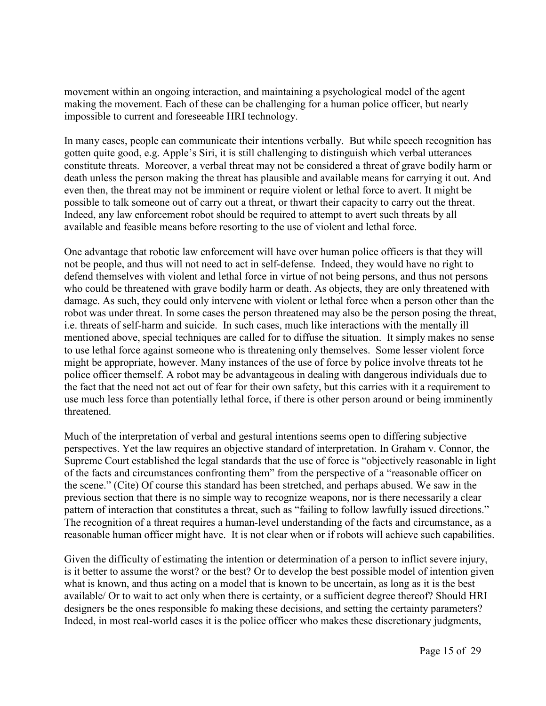movement within an ongoing interaction, and maintaining a psychological model of the agent making the movement. Each of these can be challenging for a human police officer, but nearly impossible to current and foreseeable HRI technology.

In many cases, people can communicate their intentions verbally. But while speech recognition has gotten quite good, e.g. Apple's Siri, it is still challenging to distinguish which verbal utterances constitute threats. Moreover, a verbal threat may not be considered a threat of grave bodily harm or death unless the person making the threat has plausible and available means for carrying it out. And even then, the threat may not be imminent or require violent or lethal force to avert. It might be possible to talk someone out of carry out a threat, or thwart their capacity to carry out the threat. Indeed, any law enforcement robot should be required to attempt to avert such threats by all available and feasible means before resorting to the use of violent and lethal force.

One advantage that robotic law enforcement will have over human police officers is that they will not be people, and thus will not need to act in self-defense. Indeed, they would have no right to defend themselves with violent and lethal force in virtue of not being persons, and thus not persons who could be threatened with grave bodily harm or death. As objects, they are only threatened with damage. As such, they could only intervene with violent or lethal force when a person other than the robot was under threat. In some cases the person threatened may also be the person posing the threat, i.e. threats of self-harm and suicide. In such cases, much like interactions with the mentally ill mentioned above, special techniques are called for to diffuse the situation. It simply makes no sense to use lethal force against someone who is threatening only themselves. Some lesser violent force might be appropriate, however. Many instances of the use of force by police involve threats tot he police officer themself. A robot may be advantageous in dealing with dangerous individuals due to the fact that the need not act out of fear for their own safety, but this carries with it a requirement to use much less force than potentially lethal force, if there is other person around or being imminently threatened.

Much of the interpretation of verbal and gestural intentions seems open to differing subjective perspectives. Yet the law requires an objective standard of interpretation. In Graham v. Connor, the Supreme Court established the legal standards that the use of force is "objectively reasonable in light of the facts and circumstances confronting them" from the perspective of a "reasonable officer on the scene." (Cite) Of course this standard has been stretched, and perhaps abused. We saw in the previous section that there is no simple way to recognize weapons, nor is there necessarily a clear pattern of interaction that constitutes a threat, such as "failing to follow lawfully issued directions." The recognition of a threat requires a human-level understanding of the facts and circumstance, as a reasonable human officer might have. It is not clear when or if robots will achieve such capabilities.

Given the difficulty of estimating the intention or determination of a person to inflict severe injury, is it better to assume the worst? or the best? Or to develop the best possible model of intention given what is known, and thus acting on a model that is known to be uncertain, as long as it is the best available/ Or to wait to act only when there is certainty, or a sufficient degree thereof? Should HRI designers be the ones responsible fo making these decisions, and setting the certainty parameters? Indeed, in most real-world cases it is the police officer who makes these discretionary judgments,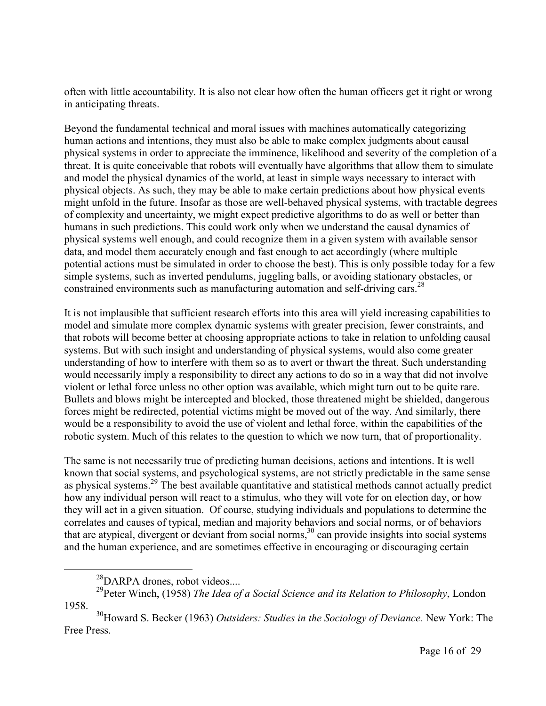often with little accountability. It is also not clear how often the human officers get it right or wrong in anticipating threats.

Beyond the fundamental technical and moral issues with machines automatically categorizing human actions and intentions, they must also be able to make complex judgments about causal physical systems in order to appreciate the imminence, likelihood and severity of the completion of a threat. It is quite conceivable that robots will eventually have algorithms that allow them to simulate and model the physical dynamics of the world, at least in simple ways necessary to interact with physical objects. As such, they may be able to make certain predictions about how physical events might unfold in the future. Insofar as those are well-behaved physical systems, with tractable degrees of complexity and uncertainty, we might expect predictive algorithms to do as well or better than humans in such predictions. This could work only when we understand the causal dynamics of physical systems well enough, and could recognize them in a given system with available sensor data, and model them accurately enough and fast enough to act accordingly (where multiple potential actions must be simulated in order to choose the best). This is only possible today for a few simple systems, such as inverted pendulums, juggling balls, or avoiding stationary obstacles, or constrained environments such as manufacturing automation and self-driving cars.<sup>28</sup>

It is not implausible that sufficient research efforts into this area will yield increasing capabilities to model and simulate more complex dynamic systems with greater precision, fewer constraints, and that robots will become better at choosing appropriate actions to take in relation to unfolding causal systems. But with such insight and understanding of physical systems, would also come greater understanding of how to interfere with them so as to avert or thwart the threat. Such understanding would necessarily imply a responsibility to direct any actions to do so in a way that did not involve violent or lethal force unless no other option was available, which might turn out to be quite rare. Bullets and blows might be intercepted and blocked, those threatened might be shielded, dangerous forces might be redirected, potential victims might be moved out of the way. And similarly, there would be a responsibility to avoid the use of violent and lethal force, within the capabilities of the robotic system. Much of this relates to the question to which we now turn, that of proportionality.

The same is not necessarily true of predicting human decisions, actions and intentions. It is well known that social systems, and psychological systems, are not strictly predictable in the same sense as physical systems.29 The best available quantitative and statistical methods cannot actually predict how any individual person will react to a stimulus, who they will vote for on election day, or how they will act in a given situation. Of course, studying individuals and populations to determine the correlates and causes of typical, median and majority behaviors and social norms, or of behaviors that are atypical, divergent or deviant from social norms,<sup>30</sup> can provide insights into social systems and the human experience, and are sometimes effective in encouraging or discouraging certain

 <sup>28</sup>DARPA drones, robot videos....

<sup>29</sup>Peter Winch, (1958) *The Idea of a Social Science and its Relation to Philosophy*, London 1958.

<sup>30</sup>Howard S. Becker (1963) *Outsiders: Studies in the Sociology of Deviance.* New York: The Free Press.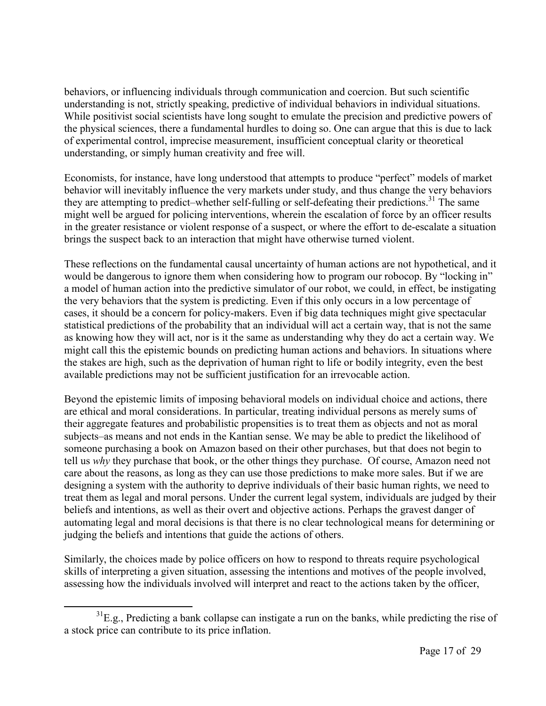behaviors, or influencing individuals through communication and coercion. But such scientific understanding is not, strictly speaking, predictive of individual behaviors in individual situations. While positivist social scientists have long sought to emulate the precision and predictive powers of the physical sciences, there a fundamental hurdles to doing so. One can argue that this is due to lack of experimental control, imprecise measurement, insufficient conceptual clarity or theoretical understanding, or simply human creativity and free will.

Economists, for instance, have long understood that attempts to produce "perfect" models of market behavior will inevitably influence the very markets under study, and thus change the very behaviors they are attempting to predict–whether self-fulling or self-defeating their predictions.<sup>31</sup> The same might well be argued for policing interventions, wherein the escalation of force by an officer results in the greater resistance or violent response of a suspect, or where the effort to de-escalate a situation brings the suspect back to an interaction that might have otherwise turned violent.

These reflections on the fundamental causal uncertainty of human actions are not hypothetical, and it would be dangerous to ignore them when considering how to program our robocop. By "locking in" a model of human action into the predictive simulator of our robot, we could, in effect, be instigating the very behaviors that the system is predicting. Even if this only occurs in a low percentage of cases, it should be a concern for policy-makers. Even if big data techniques might give spectacular statistical predictions of the probability that an individual will act a certain way, that is not the same as knowing how they will act, nor is it the same as understanding why they do act a certain way. We might call this the epistemic bounds on predicting human actions and behaviors. In situations where the stakes are high, such as the deprivation of human right to life or bodily integrity, even the best available predictions may not be sufficient justification for an irrevocable action.

Beyond the epistemic limits of imposing behavioral models on individual choice and actions, there are ethical and moral considerations. In particular, treating individual persons as merely sums of their aggregate features and probabilistic propensities is to treat them as objects and not as moral subjects–as means and not ends in the Kantian sense. We may be able to predict the likelihood of someone purchasing a book on Amazon based on their other purchases, but that does not begin to tell us *why* they purchase that book, or the other things they purchase. Of course, Amazon need not care about the reasons, as long as they can use those predictions to make more sales. But if we are designing a system with the authority to deprive individuals of their basic human rights, we need to treat them as legal and moral persons. Under the current legal system, individuals are judged by their beliefs and intentions, as well as their overt and objective actions. Perhaps the gravest danger of automating legal and moral decisions is that there is no clear technological means for determining or judging the beliefs and intentions that guide the actions of others.

Similarly, the choices made by police officers on how to respond to threats require psychological skills of interpreting a given situation, assessing the intentions and motives of the people involved, assessing how the individuals involved will interpret and react to the actions taken by the officer,

 $31E.g.,$  Predicting a bank collapse can instigate a run on the banks, while predicting the rise of a stock price can contribute to its price inflation.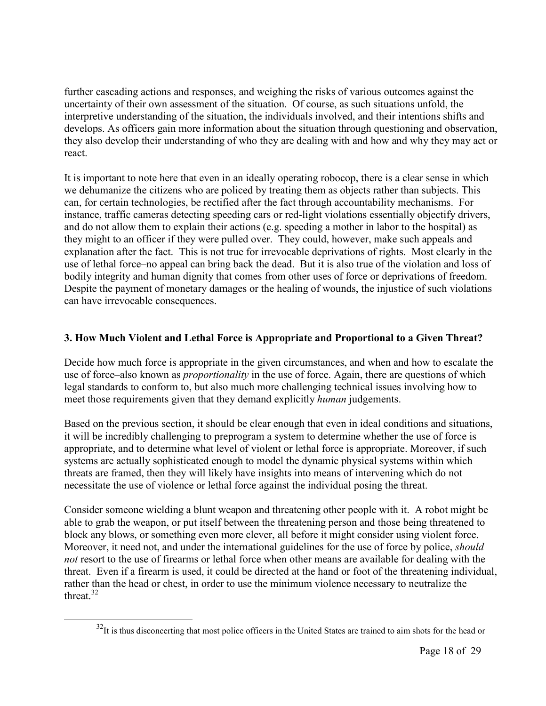further cascading actions and responses, and weighing the risks of various outcomes against the uncertainty of their own assessment of the situation. Of course, as such situations unfold, the interpretive understanding of the situation, the individuals involved, and their intentions shifts and develops. As officers gain more information about the situation through questioning and observation, they also develop their understanding of who they are dealing with and how and why they may act or react.

It is important to note here that even in an ideally operating robocop, there is a clear sense in which we dehumanize the citizens who are policed by treating them as objects rather than subjects. This can, for certain technologies, be rectified after the fact through accountability mechanisms. For instance, traffic cameras detecting speeding cars or red-light violations essentially objectify drivers, and do not allow them to explain their actions (e.g. speeding a mother in labor to the hospital) as they might to an officer if they were pulled over. They could, however, make such appeals and explanation after the fact. This is not true for irrevocable deprivations of rights. Most clearly in the use of lethal force–no appeal can bring back the dead. But it is also true of the violation and loss of bodily integrity and human dignity that comes from other uses of force or deprivations of freedom. Despite the payment of monetary damages or the healing of wounds, the injustice of such violations can have irrevocable consequences.

## **3. How Much Violent and Lethal Force is Appropriate and Proportional to a Given Threat?**

Decide how much force is appropriate in the given circumstances, and when and how to escalate the use of force–also known as *proportionality* in the use of force. Again, there are questions of which legal standards to conform to, but also much more challenging technical issues involving how to meet those requirements given that they demand explicitly *human* judgements.

Based on the previous section, it should be clear enough that even in ideal conditions and situations, it will be incredibly challenging to preprogram a system to determine whether the use of force is appropriate, and to determine what level of violent or lethal force is appropriate. Moreover, if such systems are actually sophisticated enough to model the dynamic physical systems within which threats are framed, then they will likely have insights into means of intervening which do not necessitate the use of violence or lethal force against the individual posing the threat.

Consider someone wielding a blunt weapon and threatening other people with it. A robot might be able to grab the weapon, or put itself between the threatening person and those being threatened to block any blows, or something even more clever, all before it might consider using violent force. Moreover, it need not, and under the international guidelines for the use of force by police, *should not* resort to the use of firearms or lethal force when other means are available for dealing with the threat. Even if a firearm is used, it could be directed at the hand or foot of the threatening individual, rather than the head or chest, in order to use the minimum violence necessary to neutralize the threat<sup>32</sup>

 $32$ It is thus disconcerting that most police officers in the United States are trained to aim shots for the head or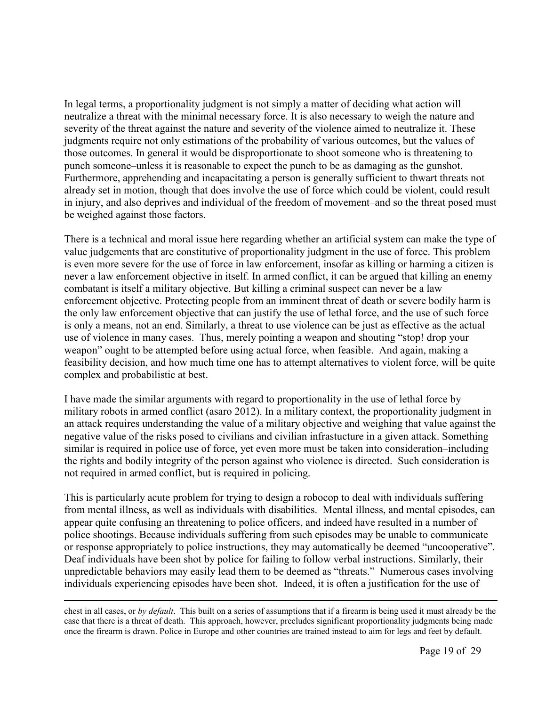In legal terms, a proportionality judgment is not simply a matter of deciding what action will neutralize a threat with the minimal necessary force. It is also necessary to weigh the nature and severity of the threat against the nature and severity of the violence aimed to neutralize it. These judgments require not only estimations of the probability of various outcomes, but the values of those outcomes. In general it would be disproportionate to shoot someone who is threatening to punch someone–unless it is reasonable to expect the punch to be as damaging as the gunshot. Furthermore, apprehending and incapacitating a person is generally sufficient to thwart threats not already set in motion, though that does involve the use of force which could be violent, could result in injury, and also deprives and individual of the freedom of movement–and so the threat posed must be weighed against those factors.

There is a technical and moral issue here regarding whether an artificial system can make the type of value judgements that are constitutive of proportionality judgment in the use of force. This problem is even more severe for the use of force in law enforcement, insofar as killing or harming a citizen is never a law enforcement objective in itself. In armed conflict, it can be argued that killing an enemy combatant is itself a military objective. But killing a criminal suspect can never be a law enforcement objective. Protecting people from an imminent threat of death or severe bodily harm is the only law enforcement objective that can justify the use of lethal force, and the use of such force is only a means, not an end. Similarly, a threat to use violence can be just as effective as the actual use of violence in many cases. Thus, merely pointing a weapon and shouting "stop! drop your weapon" ought to be attempted before using actual force, when feasible. And again, making a feasibility decision, and how much time one has to attempt alternatives to violent force, will be quite complex and probabilistic at best.

I have made the similar arguments with regard to proportionality in the use of lethal force by military robots in armed conflict (asaro 2012). In a military context, the proportionality judgment in an attack requires understanding the value of a military objective and weighing that value against the negative value of the risks posed to civilians and civilian infrastucture in a given attack. Something similar is required in police use of force, yet even more must be taken into consideration–including the rights and bodily integrity of the person against who violence is directed. Such consideration is not required in armed conflict, but is required in policing.

This is particularly acute problem for trying to design a robocop to deal with individuals suffering from mental illness, as well as individuals with disabilities. Mental illness, and mental episodes, can appear quite confusing an threatening to police officers, and indeed have resulted in a number of police shootings. Because individuals suffering from such episodes may be unable to communicate or response appropriately to police instructions, they may automatically be deemed "uncooperative". Deaf individuals have been shot by police for failing to follow verbal instructions. Similarly, their unpredictable behaviors may easily lead them to be deemed as "threats." Numerous cases involving individuals experiencing episodes have been shot. Indeed, it is often a justification for the use of

chest in all cases, or *by default*. This built on a series of assumptions that if a firearm is being used it must already be the case that there is a threat of death. This approach, however, precludes significant proportionality judgments being made once the firearm is drawn. Police in Europe and other countries are trained instead to aim for legs and feet by default.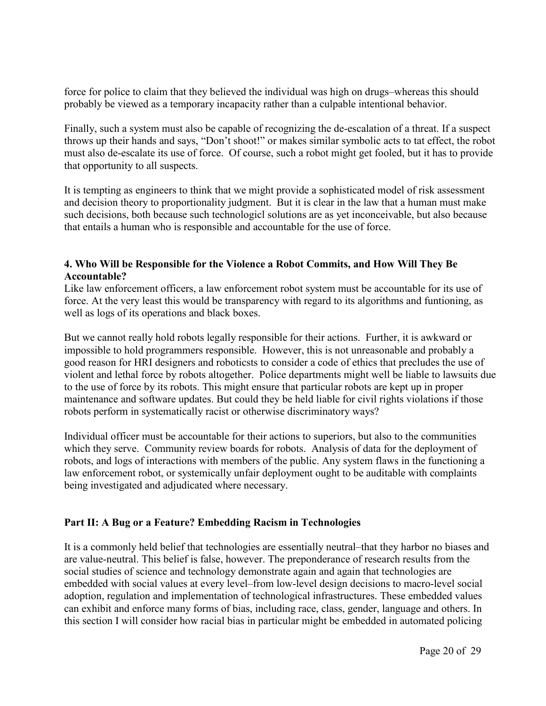force for police to claim that they believed the individual was high on drugs–whereas this should probably be viewed as a temporary incapacity rather than a culpable intentional behavior.

Finally, such a system must also be capable of recognizing the de-escalation of a threat. If a suspect throws up their hands and says, "Don't shoot!" or makes similar symbolic acts to tat effect, the robot must also de-escalate its use of force. Of course, such a robot might get fooled, but it has to provide that opportunity to all suspects.

It is tempting as engineers to think that we might provide a sophisticated model of risk assessment and decision theory to proportionality judgment. But it is clear in the law that a human must make such decisions, both because such technologicl solutions are as yet inconceivable, but also because that entails a human who is responsible and accountable for the use of force.

#### **4. Who Will be Responsible for the Violence a Robot Commits, and How Will They Be Accountable?**

Like law enforcement officers, a law enforcement robot system must be accountable for its use of force. At the very least this would be transparency with regard to its algorithms and funtioning, as well as logs of its operations and black boxes.

But we cannot really hold robots legally responsible for their actions. Further, it is awkward or impossible to hold programmers responsible. However, this is not unreasonable and probably a good reason for HRI designers and roboticsts to consider a code of ethics that precludes the use of violent and lethal force by robots altogether. Police departments might well be liable to lawsuits due to the use of force by its robots. This might ensure that particular robots are kept up in proper maintenance and software updates. But could they be held liable for civil rights violations if those robots perform in systematically racist or otherwise discriminatory ways?

Individual officer must be accountable for their actions to superiors, but also to the communities which they serve. Community review boards for robots. Analysis of data for the deployment of robots, and logs of interactions with members of the public. Any system flaws in the functioning a law enforcement robot, or systemically unfair deployment ought to be auditable with complaints being investigated and adjudicated where necessary.

### **Part II: A Bug or a Feature? Embedding Racism in Technologies**

It is a commonly held belief that technologies are essentially neutral–that they harbor no biases and are value-neutral. This belief is false, however. The preponderance of research results from the social studies of science and technology demonstrate again and again that technologies are embedded with social values at every level–from low-level design decisions to macro-level social adoption, regulation and implementation of technological infrastructures. These embedded values can exhibit and enforce many forms of bias, including race, class, gender, language and others. In this section I will consider how racial bias in particular might be embedded in automated policing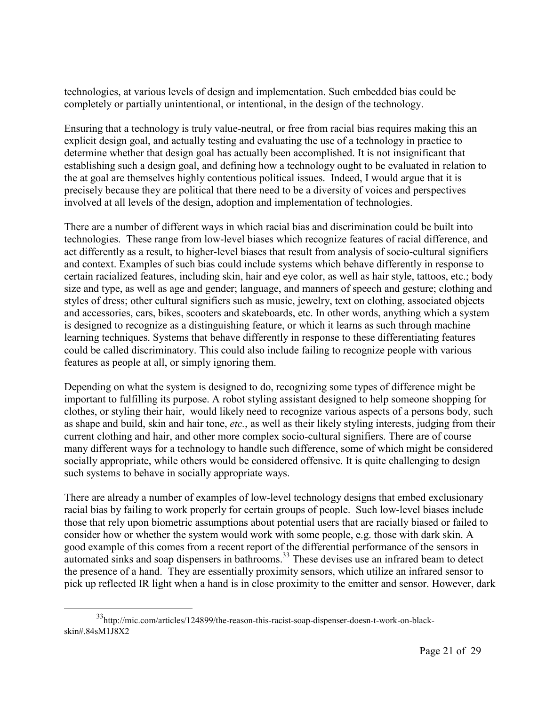technologies, at various levels of design and implementation. Such embedded bias could be completely or partially unintentional, or intentional, in the design of the technology.

Ensuring that a technology is truly value-neutral, or free from racial bias requires making this an explicit design goal, and actually testing and evaluating the use of a technology in practice to determine whether that design goal has actually been accomplished. It is not insignificant that establishing such a design goal, and defining how a technology ought to be evaluated in relation to the at goal are themselves highly contentious political issues. Indeed, I would argue that it is precisely because they are political that there need to be a diversity of voices and perspectives involved at all levels of the design, adoption and implementation of technologies.

There are a number of different ways in which racial bias and discrimination could be built into technologies. These range from low-level biases which recognize features of racial difference, and act differently as a result, to higher-level biases that result from analysis of socio-cultural signifiers and context. Examples of such bias could include systems which behave differently in response to certain racialized features, including skin, hair and eye color, as well as hair style, tattoos, etc.; body size and type, as well as age and gender; language, and manners of speech and gesture; clothing and styles of dress; other cultural signifiers such as music, jewelry, text on clothing, associated objects and accessories, cars, bikes, scooters and skateboards, etc. In other words, anything which a system is designed to recognize as a distinguishing feature, or which it learns as such through machine learning techniques. Systems that behave differently in response to these differentiating features could be called discriminatory. This could also include failing to recognize people with various features as people at all, or simply ignoring them.

Depending on what the system is designed to do, recognizing some types of difference might be important to fulfilling its purpose. A robot styling assistant designed to help someone shopping for clothes, or styling their hair, would likely need to recognize various aspects of a persons body, such as shape and build, skin and hair tone, *etc.*, as well as their likely styling interests, judging from their current clothing and hair, and other more complex socio-cultural signifiers. There are of course many different ways for a technology to handle such difference, some of which might be considered socially appropriate, while others would be considered offensive. It is quite challenging to design such systems to behave in socially appropriate ways.

There are already a number of examples of low-level technology designs that embed exclusionary racial bias by failing to work properly for certain groups of people. Such low-level biases include those that rely upon biometric assumptions about potential users that are racially biased or failed to consider how or whether the system would work with some people, e.g. those with dark skin. A good example of this comes from a recent report of the differential performance of the sensors in automated sinks and soap dispensers in bathrooms.<sup>33</sup> These devises use an infrared beam to detect the presence of a hand. They are essentially proximity sensors, which utilize an infrared sensor to pick up reflected IR light when a hand is in close proximity to the emitter and sensor. However, dark

 <sup>33</sup>http://mic.com/articles/124899/the-reason-this-racist-soap-dispenser-doesn-t-work-on-blackskin#.84sM1J8X2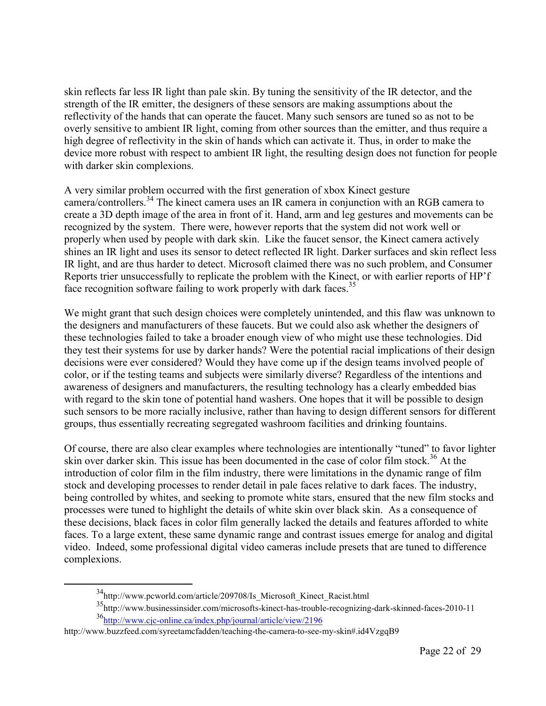skin reflects far less IR light than pale skin. By tuning the sensitivity of the IR detector, and the strength of the IR emitter, the designers of these sensors are making assumptions about the reflectivity of the hands that can operate the faucet. Many such sensors are tuned so as not to be overly sensitive to ambient IR light, coming from other sources than the emitter, and thus require a high degree of reflectivity in the skin of hands which can activate it. Thus, in order to make the device more robust with respect to ambient IR light, the resulting design does not function for people with darker skin complexions.

A very similar problem occurred with the first generation of xbox Kinect gesture camera/controllers.<sup>34</sup> The kinect camera uses an IR camera in conjunction with an RGB camera to create a 3D depth image of the area in front of it. Hand, arm and leg gestures and movements can be recognized by the system. There were, however reports that the system did not work well or properly when used by people with dark skin. Like the faucet sensor, the Kinect camera actively shines an IR light and uses its sensor to detect reflected IR light. Darker surfaces and skin reflect less IR light, and are thus harder to detect. Microsoft claimed there was no such problem, and Consumer Reports trier unsuccessfully to replicate the problem with the Kinect, or with earlier reports of HP'f face recognition software failing to work properly with dark faces.<sup>35</sup>

We might grant that such design choices were completely unintended, and this flaw was unknown to the designers and manufacturers of these faucets. But we could also ask whether the designers of these technologies failed to take a broader enough view of who might use these technologies. Did they test their systems for use by darker hands? Were the potential racial implications of their design decisions were ever considered? Would they have come up if the design teams involved people of color, or if the testing teams and subjects were similarly diverse? Regardless of the intentions and awareness of designers and manufacturers, the resulting technology has a clearly embedded bias with regard to the skin tone of potential hand washers. One hopes that it will be possible to design such sensors to be more racially inclusive, rather than having to design different sensors for different groups, thus essentially recreating segregated washroom facilities and drinking fountains.

Of course, there are also clear examples where technologies are intentionally "tuned" to favor lighter skin over darker skin. This issue has been documented in the case of color film stock.<sup>36</sup> At the introduction of color film in the film industry, there were limitations in the dynamic range of film stock and developing processes to render detail in pale faces relative to dark faces. The industry, being controlled by whites, and seeking to promote white stars, ensured that the new film stocks and processes were tuned to highlight the details of white skin over black skin. As a consequence of these decisions, black faces in color film generally lacked the details and features afforded to white faces. To a large extent, these same dynamic range and contrast issues emerge for analog and digital video. Indeed, some professional digital video cameras include presets that are tuned to difference complexions.

 <sup>34</sup>http://www.pcworld.com/article/209708/Is\_Microsoft\_Kinect\_Racist.html

<sup>35</sup>http://www.businessinsider.com/microsofts-kinect-has-trouble-recognizing-dark-skinned-faces-2010-11 36http://www.cjc-online.ca/index.php/journal/article/view/2196

http://www.buzzfeed.com/syreetamcfadden/teaching-the-camera-to-see-my-skin#.id4VzgqB9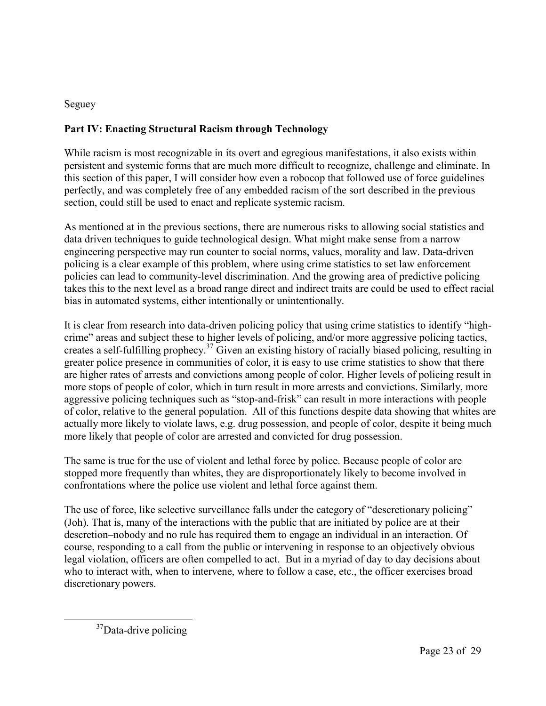## Seguey

# **Part IV: Enacting Structural Racism through Technology**

While racism is most recognizable in its overt and egregious manifestations, it also exists within persistent and systemic forms that are much more difficult to recognize, challenge and eliminate. In this section of this paper, I will consider how even a robocop that followed use of force guidelines perfectly, and was completely free of any embedded racism of the sort described in the previous section, could still be used to enact and replicate systemic racism.

As mentioned at in the previous sections, there are numerous risks to allowing social statistics and data driven techniques to guide technological design. What might make sense from a narrow engineering perspective may run counter to social norms, values, morality and law. Data-driven policing is a clear example of this problem, where using crime statistics to set law enforcement policies can lead to community-level discrimination. And the growing area of predictive policing takes this to the next level as a broad range direct and indirect traits are could be used to effect racial bias in automated systems, either intentionally or unintentionally.

It is clear from research into data-driven policing policy that using crime statistics to identify "highcrime" areas and subject these to higher levels of policing, and/or more aggressive policing tactics, creates a self-fulfilling prophecy.<sup>37</sup> Given an existing history of racially biased policing, resulting in greater police presence in communities of color, it is easy to use crime statistics to show that there are higher rates of arrests and convictions among people of color. Higher levels of policing result in more stops of people of color, which in turn result in more arrests and convictions. Similarly, more aggressive policing techniques such as "stop-and-frisk" can result in more interactions with people of color, relative to the general population. All of this functions despite data showing that whites are actually more likely to violate laws, e.g. drug possession, and people of color, despite it being much more likely that people of color are arrested and convicted for drug possession.

The same is true for the use of violent and lethal force by police. Because people of color are stopped more frequently than whites, they are disproportionately likely to become involved in confrontations where the police use violent and lethal force against them.

The use of force, like selective surveillance falls under the category of "descretionary policing" (Joh). That is, many of the interactions with the public that are initiated by police are at their descretion–nobody and no rule has required them to engage an individual in an interaction. Of course, responding to a call from the public or intervening in response to an objectively obvious legal violation, officers are often compelled to act. But in a myriad of day to day decisions about who to interact with, when to intervene, where to follow a case, etc., the officer exercises broad discretionary powers.

<sup>37</sup>Data-drive policing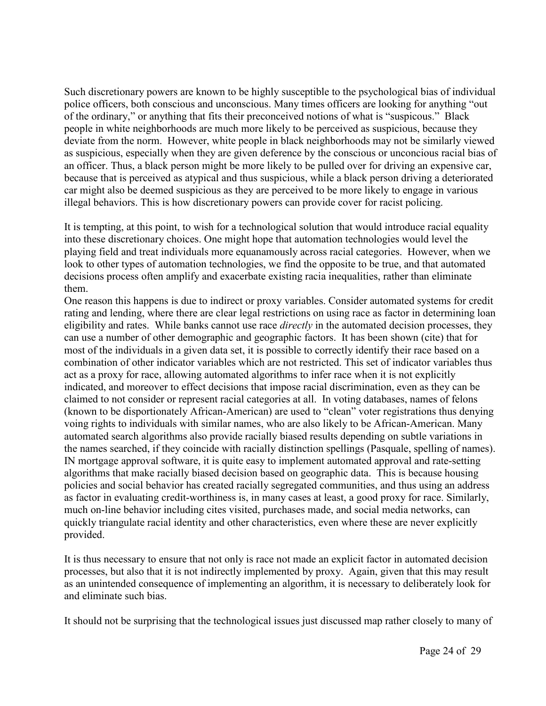Such discretionary powers are known to be highly susceptible to the psychological bias of individual police officers, both conscious and unconscious. Many times officers are looking for anything "out of the ordinary," or anything that fits their preconceived notions of what is "suspicous." Black people in white neighborhoods are much more likely to be perceived as suspicious, because they deviate from the norm. However, white people in black neighborhoods may not be similarly viewed as suspicious, especially when they are given deference by the conscious or unconcious racial bias of an officer. Thus, a black person might be more likely to be pulled over for driving an expensive car, because that is perceived as atypical and thus suspicious, while a black person driving a deteriorated car might also be deemed suspicious as they are perceived to be more likely to engage in various illegal behaviors. This is how discretionary powers can provide cover for racist policing.

It is tempting, at this point, to wish for a technological solution that would introduce racial equality into these discretionary choices. One might hope that automation technologies would level the playing field and treat individuals more equanamously across racial categories. However, when we look to other types of automation technologies, we find the opposite to be true, and that automated decisions process often amplify and exacerbate existing racia inequalities, rather than eliminate them.

One reason this happens is due to indirect or proxy variables. Consider automated systems for credit rating and lending, where there are clear legal restrictions on using race as factor in determining loan eligibility and rates. While banks cannot use race *directly* in the automated decision processes, they can use a number of other demographic and geographic factors. It has been shown (cite) that for most of the individuals in a given data set, it is possible to correctly identify their race based on a combination of other indicator variables which are not restricted. This set of indicator variables thus act as a proxy for race, allowing automated algorithms to infer race when it is not explicitly indicated, and moreover to effect decisions that impose racial discrimination, even as they can be claimed to not consider or represent racial categories at all. In voting databases, names of felons (known to be disportionately African-American) are used to "clean" voter registrations thus denying voing rights to individuals with similar names, who are also likely to be African-American. Many automated search algorithms also provide racially biased results depending on subtle variations in the names searched, if they coincide with racially distinction spellings (Pasquale, spelling of names). IN mortgage approval software, it is quite easy to implement automated approval and rate-setting algorithms that make racially biased decision based on geographic data. This is because housing policies and social behavior has created racially segregated communities, and thus using an address as factor in evaluating credit-worthiness is, in many cases at least, a good proxy for race. Similarly, much on-line behavior including cites visited, purchases made, and social media networks, can quickly triangulate racial identity and other characteristics, even where these are never explicitly provided.

It is thus necessary to ensure that not only is race not made an explicit factor in automated decision processes, but also that it is not indirectly implemented by proxy. Again, given that this may result as an unintended consequence of implementing an algorithm, it is necessary to deliberately look for and eliminate such bias.

It should not be surprising that the technological issues just discussed map rather closely to many of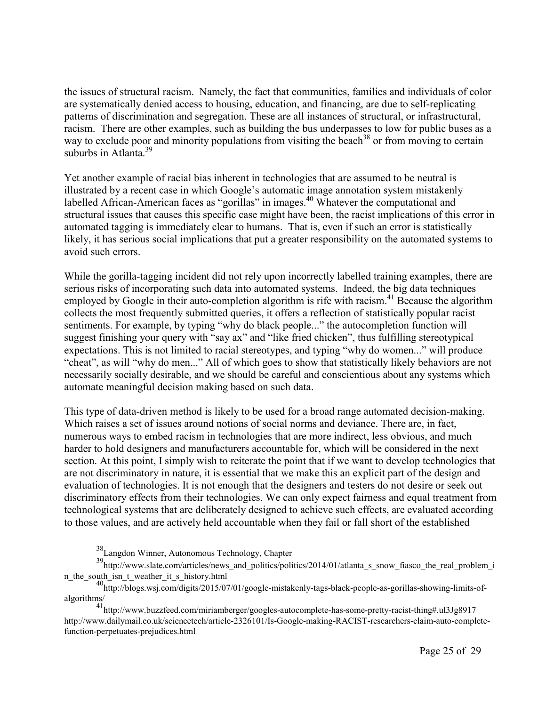the issues of structural racism. Namely, the fact that communities, families and individuals of color are systematically denied access to housing, education, and financing, are due to self-replicating patterns of discrimination and segregation. These are all instances of structural, or infrastructural, racism. There are other examples, such as building the bus underpasses to low for public buses as a way to exclude poor and minority populations from visiting the beach<sup>38</sup> or from moving to certain suburbs in Atlanta. $39$ 

Yet another example of racial bias inherent in technologies that are assumed to be neutral is illustrated by a recent case in which Google's automatic image annotation system mistakenly labelled African-American faces as "gorillas" in images.<sup>40</sup> Whatever the computational and structural issues that causes this specific case might have been, the racist implications of this error in automated tagging is immediately clear to humans. That is, even if such an error is statistically likely, it has serious social implications that put a greater responsibility on the automated systems to avoid such errors.

While the gorilla-tagging incident did not rely upon incorrectly labelled training examples, there are serious risks of incorporating such data into automated systems. Indeed, the big data techniques employed by Google in their auto-completion algorithm is rife with racism.<sup>41</sup> Because the algorithm collects the most frequently submitted queries, it offers a reflection of statistically popular racist sentiments. For example, by typing "why do black people..." the autocompletion function will suggest finishing your query with "say ax" and "like fried chicken", thus fulfilling stereotypical expectations. This is not limited to racial stereotypes, and typing "why do women..." will produce "cheat", as will "why do men..." All of which goes to show that statistically likely behaviors are not necessarily socially desirable, and we should be careful and conscientious about any systems which automate meaningful decision making based on such data.

This type of data-driven method is likely to be used for a broad range automated decision-making. Which raises a set of issues around notions of social norms and deviance. There are, in fact, numerous ways to embed racism in technologies that are more indirect, less obvious, and much harder to hold designers and manufacturers accountable for, which will be considered in the next section. At this point, I simply wish to reiterate the point that if we want to develop technologies that are not discriminatory in nature, it is essential that we make this an explicit part of the design and evaluation of technologies. It is not enough that the designers and testers do not desire or seek out discriminatory effects from their technologies. We can only expect fairness and equal treatment from technological systems that are deliberately designed to achieve such effects, are evaluated according to those values, and are actively held accountable when they fail or fall short of the established

 <sup>38</sup>Langdon Winner, Autonomous Technology, Chapter

<sup>&</sup>lt;sup>39</sup>http://www.slate.com/articles/news\_and\_politics/politics/2014/01/atlanta\_s\_snow\_fiasco\_the\_real\_problem\_i n the south isn t weather it s history.html

<sup>40</sup>http://blogs.wsj.com/digits/2015/07/01/google-mistakenly-tags-black-people-as-gorillas-showing-limits-ofalgorithms/

<sup>41</sup>http://www.buzzfeed.com/miriamberger/googles-autocomplete-has-some-pretty-racist-thing#.ul3Jg8917 http://www.dailymail.co.uk/sciencetech/article-2326101/Is-Google-making-RACIST-researchers-claim-auto-completefunction-perpetuates-prejudices.html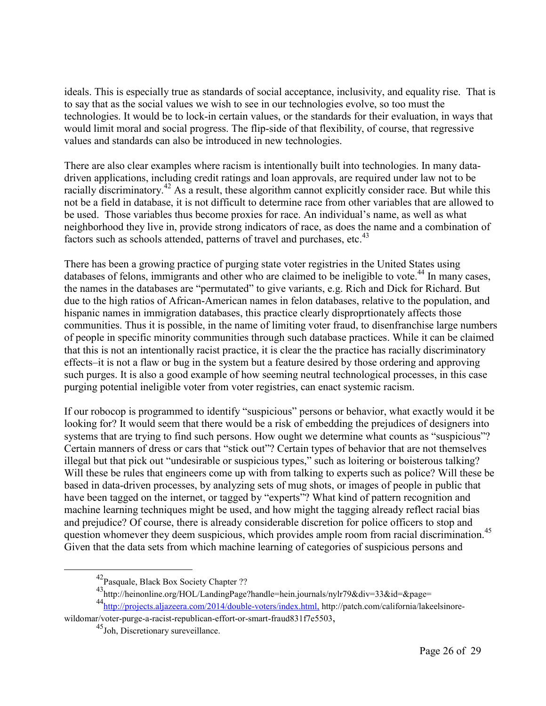ideals. This is especially true as standards of social acceptance, inclusivity, and equality rise. That is to say that as the social values we wish to see in our technologies evolve, so too must the technologies. It would be to lock-in certain values, or the standards for their evaluation, in ways that would limit moral and social progress. The flip-side of that flexibility, of course, that regressive values and standards can also be introduced in new technologies.

There are also clear examples where racism is intentionally built into technologies. In many datadriven applications, including credit ratings and loan approvals, are required under law not to be racially discriminatory.<sup>42</sup> As a result, these algorithm cannot explicitly consider race. But while this not be a field in database, it is not difficult to determine race from other variables that are allowed to be used. Those variables thus become proxies for race. An individual's name, as well as what neighborhood they live in, provide strong indicators of race, as does the name and a combination of factors such as schools attended, patterns of travel and purchases, etc.<sup>43</sup>

There has been a growing practice of purging state voter registries in the United States using databases of felons, immigrants and other who are claimed to be ineligible to vote.<sup>44</sup> In many cases, the names in the databases are "permutated" to give variants, e.g. Rich and Dick for Richard. But due to the high ratios of African-American names in felon databases, relative to the population, and hispanic names in immigration databases, this practice clearly disproprtionately affects those communities. Thus it is possible, in the name of limiting voter fraud, to disenfranchise large numbers of people in specific minority communities through such database practices. While it can be claimed that this is not an intentionally racist practice, it is clear the the practice has racially discriminatory effects–it is not a flaw or bug in the system but a feature desired by those ordering and approving such purges. It is also a good example of how seeming neutral technological processes, in this case purging potential ineligible voter from voter registries, can enact systemic racism.

If our robocop is programmed to identify "suspicious" persons or behavior, what exactly would it be looking for? It would seem that there would be a risk of embedding the prejudices of designers into systems that are trying to find such persons. How ought we determine what counts as "suspicious"? Certain manners of dress or cars that "stick out"? Certain types of behavior that are not themselves illegal but that pick out "undesirable or suspicious types," such as loitering or boisterous talking? Will these be rules that engineers come up with from talking to experts such as police? Will these be based in data-driven processes, by analyzing sets of mug shots, or images of people in public that have been tagged on the internet, or tagged by "experts"? What kind of pattern recognition and machine learning techniques might be used, and how might the tagging already reflect racial bias and prejudice? Of course, there is already considerable discretion for police officers to stop and question whomever they deem suspicious, which provides ample room from racial discrimination.<sup>45</sup> Given that the data sets from which machine learning of categories of suspicious persons and

44http://projects.aljazeera.com/2014/double-voters/index.html, http://patch.com/california/lakeelsinore-

wildomar/voter-purge-a-racist-republican-effort-or-smart-fraud831f7e5503,<br><sup>45</sup>Joh, Discretionary sureveillance.

<sup>&</sup>lt;sup>42</sup>Pasquale, Black Box Society Chapter ??

<sup>43</sup>http://heinonline.org/HOL/LandingPage?handle=hein.journals/nylr79&div=33&id=&page=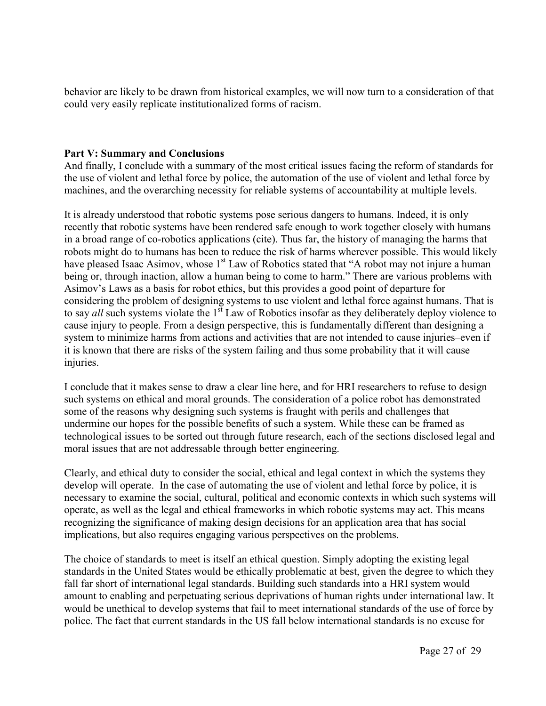behavior are likely to be drawn from historical examples, we will now turn to a consideration of that could very easily replicate institutionalized forms of racism.

#### **Part V: Summary and Conclusions**

And finally, I conclude with a summary of the most critical issues facing the reform of standards for the use of violent and lethal force by police, the automation of the use of violent and lethal force by machines, and the overarching necessity for reliable systems of accountability at multiple levels.

It is already understood that robotic systems pose serious dangers to humans. Indeed, it is only recently that robotic systems have been rendered safe enough to work together closely with humans in a broad range of co-robotics applications (cite). Thus far, the history of managing the harms that robots might do to humans has been to reduce the risk of harms wherever possible. This would likely have pleased Isaac Asimov, whose 1<sup>st</sup> Law of Robotics stated that "A robot may not injure a human being or, through inaction, allow a human being to come to harm." There are various problems with Asimov's Laws as a basis for robot ethics, but this provides a good point of departure for considering the problem of designing systems to use violent and lethal force against humans. That is to say *all* such systems violate the 1<sup>st</sup> Law of Robotics insofar as they deliberately deploy violence to cause injury to people. From a design perspective, this is fundamentally different than designing a system to minimize harms from actions and activities that are not intended to cause injuries–even if it is known that there are risks of the system failing and thus some probability that it will cause injuries.

I conclude that it makes sense to draw a clear line here, and for HRI researchers to refuse to design such systems on ethical and moral grounds. The consideration of a police robot has demonstrated some of the reasons why designing such systems is fraught with perils and challenges that undermine our hopes for the possible benefits of such a system. While these can be framed as technological issues to be sorted out through future research, each of the sections disclosed legal and moral issues that are not addressable through better engineering.

Clearly, and ethical duty to consider the social, ethical and legal context in which the systems they develop will operate. In the case of automating the use of violent and lethal force by police, it is necessary to examine the social, cultural, political and economic contexts in which such systems will operate, as well as the legal and ethical frameworks in which robotic systems may act. This means recognizing the significance of making design decisions for an application area that has social implications, but also requires engaging various perspectives on the problems.

The choice of standards to meet is itself an ethical question. Simply adopting the existing legal standards in the United States would be ethically problematic at best, given the degree to which they fall far short of international legal standards. Building such standards into a HRI system would amount to enabling and perpetuating serious deprivations of human rights under international law. It would be unethical to develop systems that fail to meet international standards of the use of force by police. The fact that current standards in the US fall below international standards is no excuse for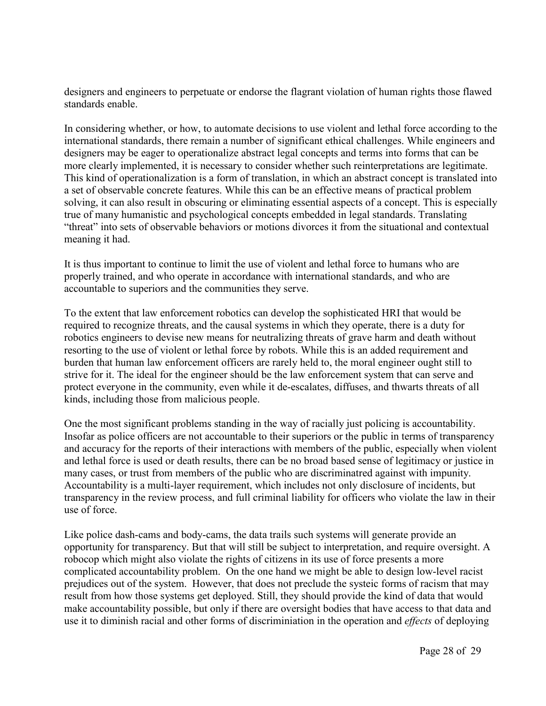designers and engineers to perpetuate or endorse the flagrant violation of human rights those flawed standards enable.

In considering whether, or how, to automate decisions to use violent and lethal force according to the international standards, there remain a number of significant ethical challenges. While engineers and designers may be eager to operationalize abstract legal concepts and terms into forms that can be more clearly implemented, it is necessary to consider whether such reinterpretations are legitimate. This kind of operationalization is a form of translation, in which an abstract concept is translated into a set of observable concrete features. While this can be an effective means of practical problem solving, it can also result in obscuring or eliminating essential aspects of a concept. This is especially true of many humanistic and psychological concepts embedded in legal standards. Translating "threat" into sets of observable behaviors or motions divorces it from the situational and contextual meaning it had.

It is thus important to continue to limit the use of violent and lethal force to humans who are properly trained, and who operate in accordance with international standards, and who are accountable to superiors and the communities they serve.

To the extent that law enforcement robotics can develop the sophisticated HRI that would be required to recognize threats, and the causal systems in which they operate, there is a duty for robotics engineers to devise new means for neutralizing threats of grave harm and death without resorting to the use of violent or lethal force by robots. While this is an added requirement and burden that human law enforcement officers are rarely held to, the moral engineer ought still to strive for it. The ideal for the engineer should be the law enforcement system that can serve and protect everyone in the community, even while it de-escalates, diffuses, and thwarts threats of all kinds, including those from malicious people.

One the most significant problems standing in the way of racially just policing is accountability. Insofar as police officers are not accountable to their superiors or the public in terms of transparency and accuracy for the reports of their interactions with members of the public, especially when violent and lethal force is used or death results, there can be no broad based sense of legitimacy or justice in many cases, or trust from members of the public who are discriminatred against with impunity. Accountability is a multi-layer requirement, which includes not only disclosure of incidents, but transparency in the review process, and full criminal liability for officers who violate the law in their use of force.

Like police dash-cams and body-cams, the data trails such systems will generate provide an opportunity for transparency. But that will still be subject to interpretation, and require oversight. A robocop which might also violate the rights of citizens in its use of force presents a more complicated accountability problem. On the one hand we might be able to design low-level racist prejudices out of the system. However, that does not preclude the systeic forms of racism that may result from how those systems get deployed. Still, they should provide the kind of data that would make accountability possible, but only if there are oversight bodies that have access to that data and use it to diminish racial and other forms of discriminiation in the operation and *effects* of deploying